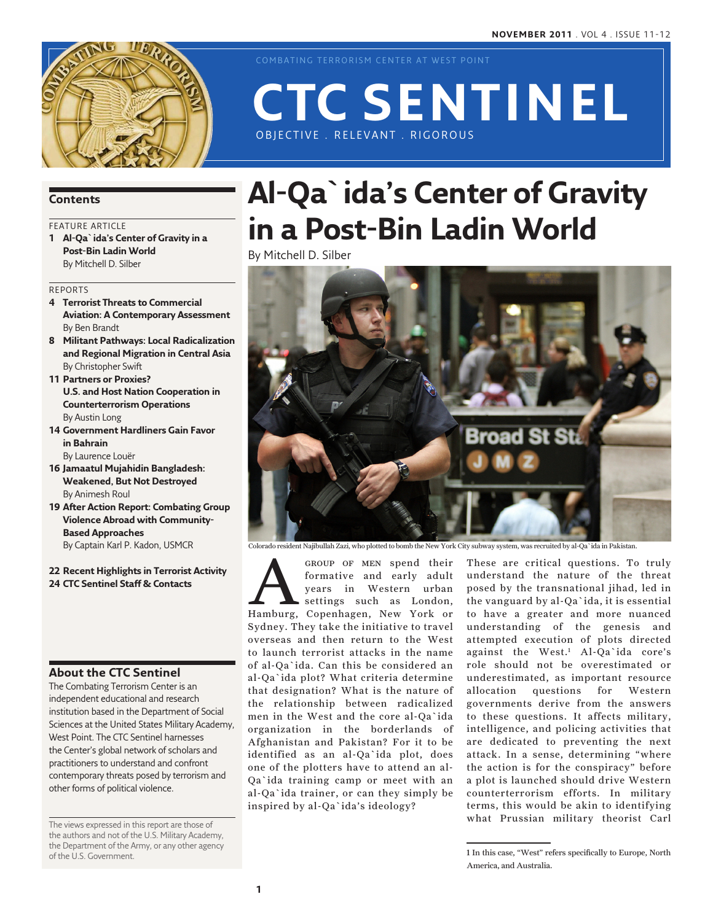

COMBATING TERRORISM CENTER AT WEST POINT

# OBJECTIVE . RELEVANT . RIGOROUS **CTC Sentinel**

## **Contents**

## FEATURE ARTICLE

**1 Al-Qa`ida's Center of Gravity in a Post-Bin Ladin World** By Mitchell D. Silber

#### Reports

- **4 Terrorist Threats to Commercial Aviation: A Contemporary Assessment** By Ben Brandt
- **8 Militant Pathways: Local Radicalization and Regional Migration in Central Asia** By Christopher Swift
- **11 Partners or Proxies? U.S. and Host Nation Cooperation in Counterterrorism Operations**  By Austin Long
- **14 Government Hardliners Gain Favor in Bahrain**

By Laurence Louër

- **16 Jamaatul Mujahidin Bangladesh: Weakened, But Not Destroyed** By Animesh Roul
- **19 After Action Report: Combating Group Violence Abroad with Community-Based Approaches** By Captain Karl P. Kadon, USMCR
- **22 Recent Highlights in Terrorist Activity 24 CTC Sentinel Staff & Contacts**

## **About the CTC Sentinel**

The Combating Terrorism Center is an independent educational and research institution based in the Department of Social Sciences at the United States Military Academy, West Point. The CTC Sentinel harnesses the Center's global network of scholars and practitioners to understand and confront contemporary threats posed by terrorism and other forms of political violence.

The views expressed in this report are those of the authors and not of the U.S. Military Academy, the Department of the Army, or any other agency of the U.S. Government.

## **Al-Qa`ida's Center of Gravity in a Post-Bin Ladin World**

By Mitchell D. Silber



Colorado resident Najibullah Zazi, who plotted to bomb the New York City subway system, was recruited by al-Qa`ida in Pakistan.

GROUP OF MEN spend their<br>formative and early adult<br>years in Western urban<br>settings such as London,<br>Hamburg, Copenhagen, New York or formative and early adult years in Western urban settings such as London, Sydney. They take the initiative to travel overseas and then return to the West to launch terrorist attacks in the name of al-Qa`ida. Can this be considered an al-Qa`ida plot? What criteria determine that designation? What is the nature of the relationship between radicalized men in the West and the core al-Qa`ida organization in the borderlands of Afghanistan and Pakistan? For it to be identified as an al-Qa`ida plot, does one of the plotters have to attend an al-Qa`ida training camp or meet with an al-Qa`ida trainer, or can they simply be inspired by al-Qa`ida's ideology?

These are critical questions. To truly understand the nature of the threat posed by the transnational jihad, led in the vanguard by al-Qa`ida, it is essential to have a greater and more nuanced understanding of the genesis and attempted execution of plots directed against the West.1 Al-Qa`ida core's role should not be overestimated or underestimated, as important resource allocation questions for Western governments derive from the answers to these questions. It affects military, intelligence, and policing activities that are dedicated to preventing the next attack. In a sense, determining "where the action is for the conspiracy" before a plot is launched should drive Western counterterrorism efforts. In military terms, this would be akin to identifying what Prussian military theorist Carl

<sup>1</sup> In this case, "West" refers specifically to Europe, North America, and Australia.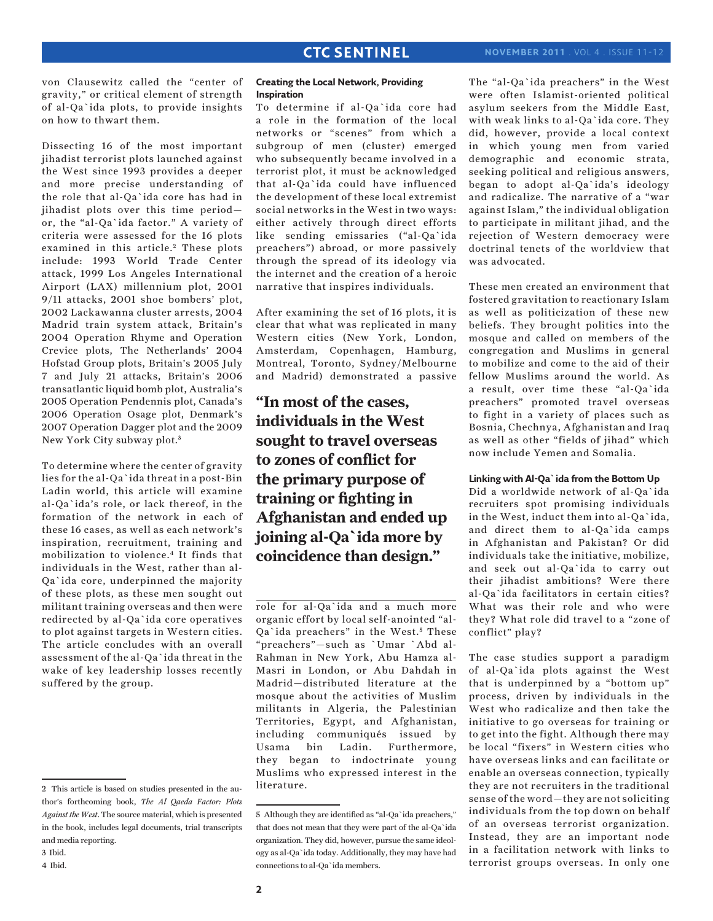von Clausewitz called the "center of gravity," or critical element of strength of al-Qa`ida plots, to provide insights on how to thwart them.

Dissecting 16 of the most important jihadist terrorist plots launched against the West since 1993 provides a deeper and more precise understanding of the role that al-Qa`ida core has had in jihadist plots over this time period or, the "al-Qa`ida factor." A variety of criteria were assessed for the 16 plots examined in this article.<sup>2</sup> These plots include: 1993 World Trade Center attack, 1999 Los Angeles International Airport (LAX) millennium plot, 2001 9/11 attacks, 2001 shoe bombers' plot, 2002 Lackawanna cluster arrests, 2004 Madrid train system attack, Britain's 2004 Operation Rhyme and Operation Crevice plots, The Netherlands' 2004 Hofstad Group plots, Britain's 2005 July 7 and July 21 attacks, Britain's 2006 transatlantic liquid bomb plot, Australia's 2005 Operation Pendennis plot, Canada's 2006 Operation Osage plot, Denmark's 2007 Operation Dagger plot and the 2009 New York City subway plot.3

To determine where the center of gravity lies for the al-Qa`ida threat in a post-Bin Ladin world, this article will examine al-Qa`ida's role, or lack thereof, in the formation of the network in each of these 16 cases, as well as each network's inspiration, recruitment, training and mobilization to violence.4 It finds that individuals in the West, rather than al-Qa`ida core, underpinned the majority of these plots, as these men sought out militant training overseas and then were redirected by al-Qa`ida core operatives to plot against targets in Western cities. The article concludes with an overall assessment of the al-Qa`ida threat in the wake of key leadership losses recently suffered by the group.

## **Creating the Local Network, Providing Inspiration**

To determine if al-Qa`ida core had a role in the formation of the local networks or "scenes" from which a subgroup of men (cluster) emerged who subsequently became involved in a terrorist plot, it must be acknowledged that al-Qa`ida could have influenced the development of these local extremist social networks in the West in two ways: either actively through direct efforts like sending emissaries ("al-Qa`ida preachers") abroad, or more passively through the spread of its ideology via the internet and the creation of a heroic narrative that inspires individuals.

After examining the set of 16 plots, it is clear that what was replicated in many Western cities (New York, London, Amsterdam, Copenhagen, Hamburg, Montreal, Toronto, Sydney/Melbourne and Madrid) demonstrated a passive

**"In most of the cases, individuals in the West sought to travel overseas to zones of conflict for the primary purpose of training or fighting in Afghanistan and ended up joining al-Qa`ida more by coincidence than design."**

role for al-Qa`ida and a much more organic effort by local self-anointed "al-Qa`ida preachers" in the West.<sup>5</sup> These "preachers"—such as `Umar `Abd al-Rahman in New York, Abu Hamza al-Masri in London, or Abu Dahdah in Madrid—distributed literature at the mosque about the activities of Muslim militants in Algeria, the Palestinian Territories, Egypt, and Afghanistan, including communiqués issued by Usama bin Ladin. Furthermore, they began to indoctrinate young Muslims who expressed interest in the literature.

The "al-Qa`ida preachers" in the West were often Islamist-oriented political asylum seekers from the Middle East, with weak links to al-Qa`ida core. They did, however, provide a local context in which young men from varied demographic and economic strata, seeking political and religious answers, began to adopt al-Qa`ida's ideology and radicalize. The narrative of a "war against Islam," the individual obligation to participate in militant jihad, and the rejection of Western democracy were doctrinal tenets of the worldview that was advocated.

These men created an environment that fostered gravitation to reactionary Islam as well as politicization of these new beliefs. They brought politics into the mosque and called on members of the congregation and Muslims in general to mobilize and come to the aid of their fellow Muslims around the world. As a result, over time these "al-Qa`ida preachers" promoted travel overseas to fight in a variety of places such as Bosnia, Chechnya, Afghanistan and Iraq as well as other "fields of jihad" which now include Yemen and Somalia.

## **Linking with Al-Qa`ida from the Bottom Up**

Did a worldwide network of al-Qa`ida recruiters spot promising individuals in the West, induct them into al-Qa`ida, and direct them to al-Qa`ida camps in Afghanistan and Pakistan? Or did individuals take the initiative, mobilize, and seek out al-Qa`ida to carry out their jihadist ambitions? Were there al-Qa`ida facilitators in certain cities? What was their role and who were they? What role did travel to a "zone of conflict" play?

The case studies support a paradigm of al-Qa`ida plots against the West that is underpinned by a "bottom up" process, driven by individuals in the West who radicalize and then take the initiative to go overseas for training or to get into the fight. Although there may be local "fixers" in Western cities who have overseas links and can facilitate or enable an overseas connection, typically they are not recruiters in the traditional sense of the word—they are not soliciting individuals from the top down on behalf of an overseas terrorist organization. Instead, they are an important node in a facilitation network with links to terrorist groups overseas. In only one

<sup>2</sup> This article is based on studies presented in the author's forthcoming book, *The Al Qaeda Factor: Plots Against the West*. The source material, which is presented in the book, includes legal documents, trial transcripts and media reporting.

<sup>3</sup> Ibid.

<sup>4</sup> Ibid.

<sup>5</sup> Although they are identified as "al-Qa`ida preachers," that does not mean that they were part of the al-Qa`ida organization. They did, however, pursue the same ideology as al-Qa`ida today. Additionally, they may have had connections to al-Qa`ida members.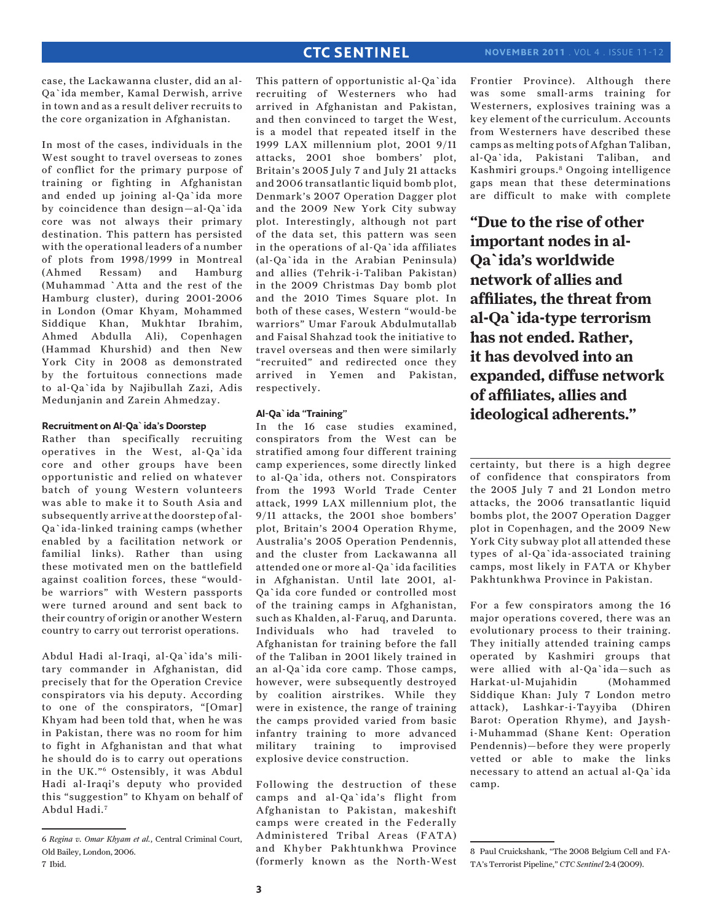case, the Lackawanna cluster, did an al-Qa`ida member, Kamal Derwish, arrive in town and as a result deliver recruits to the core organization in Afghanistan.

In most of the cases, individuals in the West sought to travel overseas to zones of conflict for the primary purpose of training or fighting in Afghanistan and ended up joining al-Qa`ida more by coincidence than design—al-Qa`ida core was not always their primary destination. This pattern has persisted with the operational leaders of a number of plots from 1998/1999 in Montreal (Ahmed Ressam) and Hamburg (Muhammad `Atta and the rest of the Hamburg cluster), during 2001-2006 in London (Omar Khyam, Mohammed Siddique Khan, Mukhtar Ibrahim, Ahmed Abdulla Ali), Copenhagen (Hammad Khurshid) and then New York City in 2008 as demonstrated by the fortuitous connections made to al-Qa`ida by Najibullah Zazi, Adis Medunjanin and Zarein Ahmedzay.

#### **Recruitment on Al-Qa`ida's Doorstep**

Rather than specifically recruiting operatives in the West, al-Qa`ida core and other groups have been opportunistic and relied on whatever batch of young Western volunteers was able to make it to South Asia and subsequently arrive at the doorstep of al-Qa`ida-linked training camps (whether enabled by a facilitation network or familial links). Rather than using these motivated men on the battlefield against coalition forces, these "wouldbe warriors" with Western passports were turned around and sent back to their country of origin or another Western country to carry out terrorist operations.

Abdul Hadi al-Iraqi, al-Qa`ida's military commander in Afghanistan, did precisely that for the Operation Crevice conspirators via his deputy. According to one of the conspirators, "[Omar] Khyam had been told that, when he was in Pakistan, there was no room for him to fight in Afghanistan and that what he should do is to carry out operations in the UK."6 Ostensibly, it was Abdul Hadi al-Iraqi's deputy who provided this "suggestion" to Khyam on behalf of Abdul Hadi.7

This pattern of opportunistic al-Qa`ida recruiting of Westerners who had arrived in Afghanistan and Pakistan, and then convinced to target the West, is a model that repeated itself in the 1999 LAX millennium plot, 2001 9/11 attacks, 2001 shoe bombers' plot, Britain's 2005 July 7 and July 21 attacks and 2006 transatlantic liquid bomb plot, Denmark's 2007 Operation Dagger plot and the 2009 New York City subway plot. Interestingly, although not part of the data set, this pattern was seen in the operations of al-Qa`ida affiliates (al-Qa`ida in the Arabian Peninsula) and allies (Tehrik-i-Taliban Pakistan) in the 2009 Christmas Day bomb plot and the 2010 Times Square plot. In both of these cases, Western "would-be warriors" Umar Farouk Abdulmutallab and Faisal Shahzad took the initiative to travel overseas and then were similarly "recruited" and redirected once they arrived in Yemen and Pakistan, respectively.

#### **Al-Qa`ida "Training"**

In the 16 case studies examined, conspirators from the West can be stratified among four different training camp experiences, some directly linked to al-Qa`ida, others not. Conspirators from the 1993 World Trade Center attack, 1999 LAX millennium plot, the 9/11 attacks, the 2001 shoe bombers' plot, Britain's 2004 Operation Rhyme, Australia's 2005 Operation Pendennis, and the cluster from Lackawanna all attended one or more al-Qa`ida facilities in Afghanistan. Until late 2001, al-Qa`ida core funded or controlled most of the training camps in Afghanistan, such as Khalden, al-Faruq, and Darunta. Individuals who had traveled to Afghanistan for training before the fall of the Taliban in 2001 likely trained in an al-Qa`ida core camp. Those camps, however, were subsequently destroyed by coalition airstrikes. While they were in existence, the range of training the camps provided varied from basic infantry training to more advanced military training to improvised explosive device construction.

Following the destruction of these camps and al-Qa`ida's flight from Afghanistan to Pakistan, makeshift camps were created in the Federally Administered Tribal Areas (FATA) and Khyber Pakhtunkhwa Province (formerly known as the North-West Frontier Province). Although there was some small-arms training for Westerners, explosives training was a key element of the curriculum. Accounts from Westerners have described these camps as melting pots of Afghan Taliban, al-Qa`ida, Pakistani Taliban, and Kashmiri groups.8 Ongoing intelligence gaps mean that these determinations are difficult to make with complete

**"Due to the rise of other important nodes in al-Qa`ida's worldwide network of allies and affiliates, the threat from al-Qa`ida-type terrorism has not ended. Rather, it has devolved into an expanded, diffuse network of affiliates, allies and ideological adherents."**

certainty, but there is a high degree of confidence that conspirators from the 2005 July 7 and 21 London metro attacks, the 2006 transatlantic liquid bombs plot, the 2007 Operation Dagger plot in Copenhagen, and the 2009 New York City subway plot all attended these types of al-Qa`ida-associated training camps, most likely in FATA or Khyber Pakhtunkhwa Province in Pakistan.

For a few conspirators among the 16 major operations covered, there was an evolutionary process to their training. They initially attended training camps operated by Kashmiri groups that were allied with al-Qa`ida—such as Harkat-ul-Mujahidin (Mohammed Siddique Khan: July 7 London metro attack), Lashkar-i-Tayyiba (Dhiren Barot: Operation Rhyme), and Jayshi-Muhammad (Shane Kent: Operation Pendennis)—before they were properly vetted or able to make the links necessary to attend an actual al-Qa`ida camp.

<sup>6</sup> *Regina v. Omar Khyam et al.*, Central Criminal Court, Old Bailey, London, 2006. 7 Ibid.

<sup>8</sup> Paul Cruickshank, "The 2008 Belgium Cell and FA-TA's Terrorist Pipeline," *CTC Sentinel* 2:4 (2009).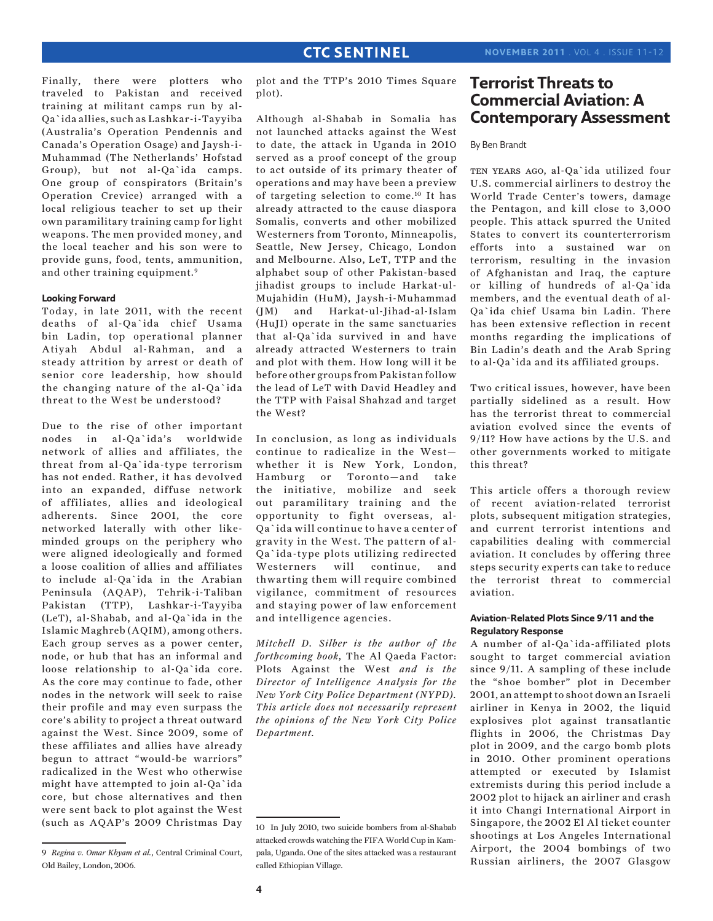Finally, there were plotters who traveled to Pakistan and received training at militant camps run by al-Qa`ida allies, such as Lashkar-i-Tayyiba (Australia's Operation Pendennis and Canada's Operation Osage) and Jaysh-i-Muhammad (The Netherlands' Hofstad Group), but not al-Qa`ida camps. One group of conspirators (Britain's Operation Crevice) arranged with a local religious teacher to set up their own paramilitary training camp for light weapons. The men provided money, and the local teacher and his son were to provide guns, food, tents, ammunition, and other training equipment.9

#### **Looking Forward**

Today, in late 2011, with the recent deaths of al-Qa`ida chief Usama bin Ladin, top operational planner Atiyah Abdul al-Rahman, and a steady attrition by arrest or death of senior core leadership, how should the changing nature of the al-Qa`ida threat to the West be understood?

Due to the rise of other important nodes in al-Qa`ida's worldwide network of allies and affiliates, the threat from al-Qa`ida-type terrorism has not ended. Rather, it has devolved into an expanded, diffuse network of affiliates, allies and ideological adherents. Since 2001, the core networked laterally with other likeminded groups on the periphery who were aligned ideologically and formed a loose coalition of allies and affiliates to include al-Qa`ida in the Arabian Peninsula (AQAP), Tehrik-i-Taliban Pakistan (TTP), Lashkar-i-Tayyiba (LeT), al-Shabab, and al-Qa`ida in the Islamic Maghreb (AQIM), among others. Each group serves as a power center, node, or hub that has an informal and loose relationship to al-Qa`ida core. As the core may continue to fade, other nodes in the network will seek to raise their profile and may even surpass the core's ability to project a threat outward against the West. Since 2009, some of these affiliates and allies have already begun to attract "would-be warriors" radicalized in the West who otherwise might have attempted to join al-Qa`ida core, but chose alternatives and then were sent back to plot against the West (such as AQAP's 2009 Christmas Day

plot and the TTP's 2010 Times Square plot).

Although al-Shabab in Somalia has not launched attacks against the West to date, the attack in Uganda in 2010 served as a proof concept of the group to act outside of its primary theater of operations and may have been a preview of targeting selection to come.10 It has already attracted to the cause diaspora Somalis, converts and other mobilized Westerners from Toronto, Minneapolis, Seattle, New Jersey, Chicago, London and Melbourne. Also, LeT, TTP and the alphabet soup of other Pakistan-based jihadist groups to include Harkat-ul-Mujahidin (HuM), Jaysh-i-Muhammad (JM) and Harkat-ul-Jihad-al-Islam (HuJI) operate in the same sanctuaries that al-Qa`ida survived in and have already attracted Westerners to train and plot with them. How long will it be before other groups from Pakistan follow the lead of LeT with David Headley and the TTP with Faisal Shahzad and target the West?

In conclusion, as long as individuals continue to radicalize in the West whether it is New York, London, Hamburg or Toronto—and take the initiative, mobilize and seek out paramilitary training and the opportunity to fight overseas, al-Qa`ida will continue to have a center of gravity in the West. The pattern of al-Qa`ida-type plots utilizing redirected Westerners will continue, and thwarting them will require combined vigilance, commitment of resources and staying power of law enforcement and intelligence agencies.

*Mitchell D. Silber is the author of the forthcoming book,* The Al Qaeda Factor: Plots Against the West *and is the Director of Intelligence Analysis for the New York City Police Department (NYPD). This article does not necessarily represent the opinions of the New York City Police Department.*

## **Terrorist Threats to Commercial Aviation: A Contemporary Assessment**

#### By Ben Brandt

TEN YEARS AGO, al-Qa`ida utilized four U.S. commercial airliners to destroy the World Trade Center's towers, damage the Pentagon, and kill close to 3,000 people. This attack spurred the United States to convert its counterterrorism efforts into a sustained war on terrorism, resulting in the invasion of Afghanistan and Iraq, the capture or killing of hundreds of al-Qa`ida members, and the eventual death of al-Qa`ida chief Usama bin Ladin. There has been extensive reflection in recent months regarding the implications of Bin Ladin's death and the Arab Spring to al-Qa`ida and its affiliated groups.

Two critical issues, however, have been partially sidelined as a result. How has the terrorist threat to commercial aviation evolved since the events of 9/11? How have actions by the U.S. and other governments worked to mitigate this threat?

This article offers a thorough review of recent aviation-related terrorist plots, subsequent mitigation strategies, and current terrorist intentions and capabilities dealing with commercial aviation. It concludes by offering three steps security experts can take to reduce the terrorist threat to commercial aviation.

## **Aviation-Related Plots Since 9/11 and the Regulatory Response**

A number of al-Qa`ida-affiliated plots sought to target commercial aviation since 9/11. A sampling of these include the "shoe bomber" plot in December 2001, an attempt to shoot down an Israeli airliner in Kenya in 2002, the liquid explosives plot against transatlantic flights in 2006, the Christmas Day plot in 2009, and the cargo bomb plots in 2010. Other prominent operations attempted or executed by Islamist extremists during this period include a 2002 plot to hijack an airliner and crash it into Changi International Airport in Singapore, the 2002 El Al ticket counter shootings at Los Angeles International Airport, the 2004 bombings of two Russian airliners, the 2007 Glasgow

<sup>9</sup> *Regina v. Omar Khyam et al.*, Central Criminal Court, Old Bailey, London, 2006.

<sup>10</sup> In July 2010, two suicide bombers from al-Shabab attacked crowds watching the FIFA World Cup in Kampala, Uganda. One of the sites attacked was a restaurant called Ethiopian Village.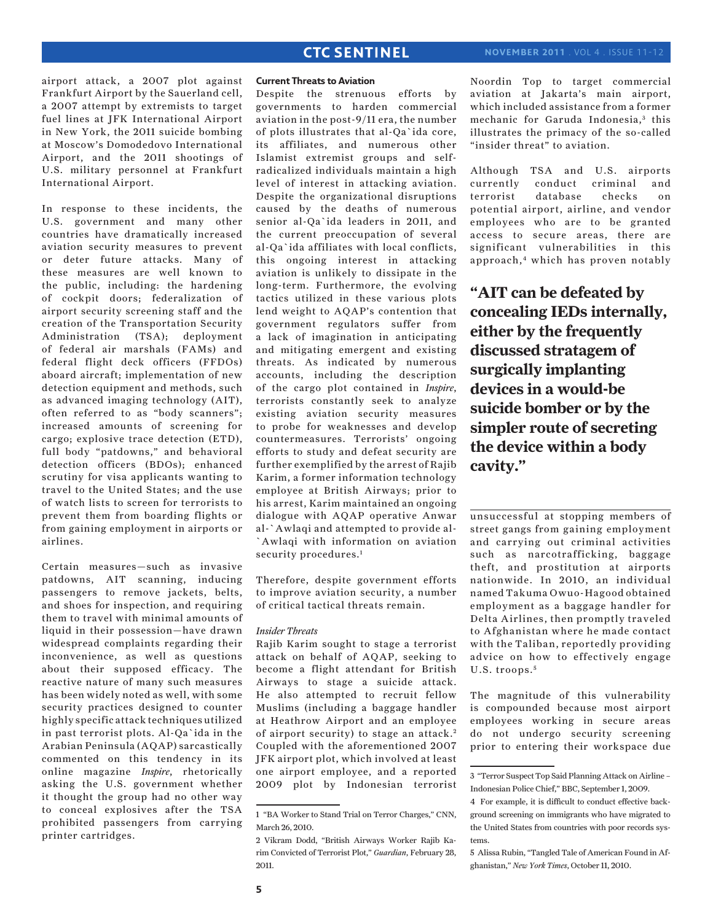airport attack, a 2007 plot against Frankfurt Airport by the Sauerland cell, a 2007 attempt by extremists to target fuel lines at JFK International Airport in New York, the 2011 suicide bombing at Moscow's Domodedovo International Airport, and the 2011 shootings of U.S. military personnel at Frankfurt International Airport.

In response to these incidents, the U.S. government and many other countries have dramatically increased aviation security measures to prevent or deter future attacks. Many of these measures are well known to the public, including: the hardening of cockpit doors; federalization of airport security screening staff and the creation of the Transportation Security Administration (TSA); deployment of federal air marshals (FAMs) and federal flight deck officers (FFDOs) aboard aircraft; implementation of new detection equipment and methods, such as advanced imaging technology (AIT), often referred to as "body scanners"; increased amounts of screening for cargo; explosive trace detection (ETD), full body "patdowns," and behavioral detection officers (BDOs); enhanced scrutiny for visa applicants wanting to travel to the United States; and the use of watch lists to screen for terrorists to prevent them from boarding flights or from gaining employment in airports or airlines.

Certain measures—such as invasive patdowns, AIT scanning, inducing passengers to remove jackets, belts, and shoes for inspection, and requiring them to travel with minimal amounts of liquid in their possession—have drawn widespread complaints regarding their inconvenience, as well as questions about their supposed efficacy. The reactive nature of many such measures has been widely noted as well, with some security practices designed to counter highly specific attack techniques utilized in past terrorist plots. Al-Qa`ida in the Arabian Peninsula (AQAP) sarcastically commented on this tendency in its online magazine *Inspire*, rhetorically asking the U.S. government whether it thought the group had no other way to conceal explosives after the TSA prohibited passengers from carrying printer cartridges.

#### **Current Threats to Aviation**

Despite the strenuous efforts by governments to harden commercial aviation in the post-9/11 era, the number of plots illustrates that al-Qa`ida core, its affiliates, and numerous other Islamist extremist groups and selfradicalized individuals maintain a high level of interest in attacking aviation. Despite the organizational disruptions caused by the deaths of numerous senior al-Qa`ida leaders in 2011, and the current preoccupation of several al-Qa`ida affiliates with local conflicts, this ongoing interest in attacking aviation is unlikely to dissipate in the long-term. Furthermore, the evolving tactics utilized in these various plots lend weight to AQAP's contention that government regulators suffer from a lack of imagination in anticipating and mitigating emergent and existing threats. As indicated by numerous accounts, including the description of the cargo plot contained in *Inspire*, terrorists constantly seek to analyze existing aviation security measures to probe for weaknesses and develop countermeasures. Terrorists' ongoing efforts to study and defeat security are further exemplified by the arrest of Rajib Karim, a former information technology employee at British Airways; prior to his arrest, Karim maintained an ongoing dialogue with AQAP operative Anwar al-`Awlaqi and attempted to provide al- `Awlaqi with information on aviation security procedures.<sup>1</sup>

Therefore, despite government efforts to improve aviation security, a number of critical tactical threats remain.

#### *Insider Threats*

Rajib Karim sought to stage a terrorist attack on behalf of AQAP, seeking to become a flight attendant for British Airways to stage a suicide attack. He also attempted to recruit fellow Muslims (including a baggage handler at Heathrow Airport and an employee of airport security) to stage an attack. <sup>2</sup> Coupled with the aforementioned 2007 JFK airport plot, which involved at least one airport employee, and a reported 2009 plot by Indonesian terrorist Noordin Top to target commercial aviation at Jakarta's main airport, which included assistance from a former mechanic for Garuda Indonesia,<sup>3</sup> this illustrates the primacy of the so-called "insider threat" to aviation.

Although TSA and U.S. airports currently conduct criminal and terrorist database checks on potential airport, airline, and vendor employees who are to be granted access to secure areas, there are significant vulnerabilities in this approach,<sup>4</sup> which has proven notably

**"AIT can be defeated by concealing IEDs internally, either by the frequently discussed stratagem of surgically implanting devices in a would-be suicide bomber or by the simpler route of secreting the device within a body cavity."**

unsuccessful at stopping members of street gangs from gaining employment and carrying out criminal activities such as narcotrafficking, baggage theft, and prostitution at airports nationwide. In 2010, an individual named Takuma Owuo-Hagood obtained employment as a baggage handler for Delta Airlines, then promptly traveled to Afghanistan where he made contact with the Taliban, reportedly providing advice on how to effectively engage U.S. troops.<sup>5</sup>

The magnitude of this vulnerability is compounded because most airport employees working in secure areas do not undergo security screening prior to entering their workspace due

<sup>1 &</sup>quot;BA Worker to Stand Trial on Terror Charges," CNN, March 26, 2010.

<sup>2</sup> Vikram Dodd, "British Airways Worker Rajib Karim Convicted of Terrorist Plot," *Guardian*, February 28, 2011.

<sup>3 &</sup>quot;Terror Suspect Top Said Planning Attack on Airline – Indonesian Police Chief," BBC, September 1, 2009.

<sup>4</sup> For example, it is difficult to conduct effective background screening on immigrants who have migrated to the United States from countries with poor records systems.

<sup>5</sup> Alissa Rubin, "Tangled Tale of American Found in Afghanistan," *New York Times*, October 11, 2010.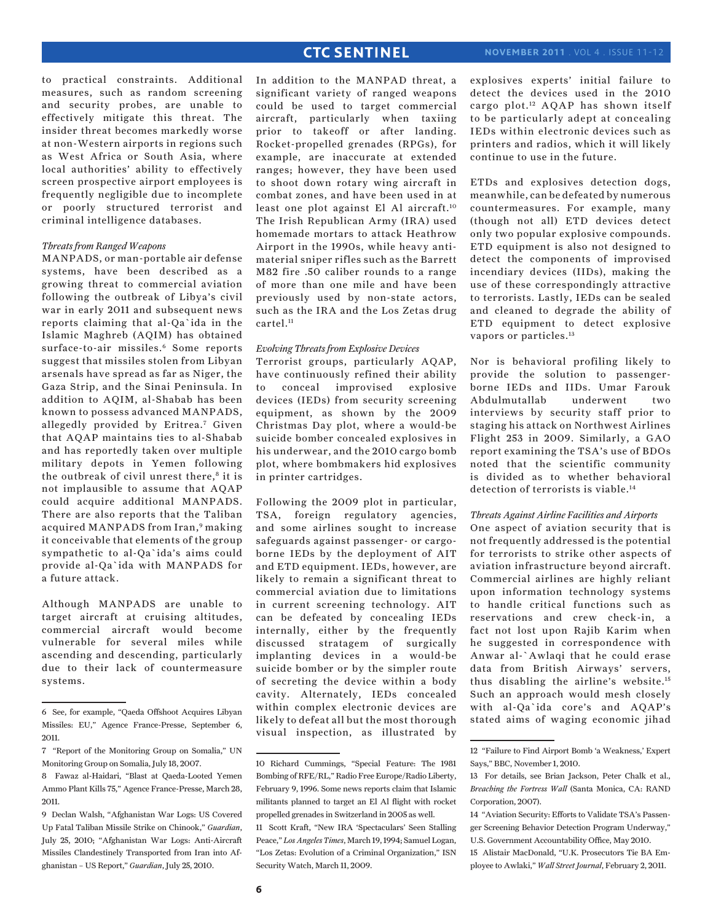to practical constraints. Additional measures, such as random screening and security probes, are unable to effectively mitigate this threat. The insider threat becomes markedly worse at non-Western airports in regions such as West Africa or South Asia, where local authorities' ability to effectively screen prospective airport employees is frequently negligible due to incomplete or poorly structured terrorist and criminal intelligence databases.

#### *Threats from Ranged Weapons*

MANPADS, or man-portable air defense systems, have been described as a growing threat to commercial aviation following the outbreak of Libya's civil war in early 2011 and subsequent news reports claiming that al-Qa`ida in the Islamic Maghreb (AQIM) has obtained surface-to-air missiles.<sup>6</sup> Some reports suggest that missiles stolen from Libyan arsenals have spread as far as Niger, the Gaza Strip, and the Sinai Peninsula. In addition to AQIM, al-Shabab has been known to possess advanced MANPADS, allegedly provided by Eritrea.7 Given that AQAP maintains ties to al-Shabab and has reportedly taken over multiple military depots in Yemen following the outbreak of civil unrest there, $8$  it is not implausible to assume that AQAP could acquire additional MANPADS. There are also reports that the Taliban acquired MANPADS from Iran,<sup>9</sup> making it conceivable that elements of the group sympathetic to al-Qa`ida's aims could provide al-Qa`ida with MANPADS for a future attack.

Although MANPADS are unable to target aircraft at cruising altitudes, commercial aircraft would become vulnerable for several miles while ascending and descending, particularly due to their lack of countermeasure systems.

In addition to the MANPAD threat, a significant variety of ranged weapons could be used to target commercial aircraft, particularly when taxiing prior to takeoff or after landing. Rocket-propelled grenades (RPGs), for example, are inaccurate at extended ranges; however, they have been used to shoot down rotary wing aircraft in combat zones, and have been used in at least one plot against El Al aircraft.10 The Irish Republican Army (IRA) used homemade mortars to attack Heathrow Airport in the 1990s, while heavy antimaterial sniper rifles such as the Barrett M82 fire .50 caliber rounds to a range of more than one mile and have been previously used by non-state actors, such as the IRA and the Los Zetas drug cartel.11

#### *Evolving Threats from Explosive Devices*

Terrorist groups, particularly AQAP, have continuously refined their ability to conceal improvised explosive devices (IEDs) from security screening equipment, as shown by the 2009 Christmas Day plot, where a would-be suicide bomber concealed explosives in his underwear, and the 2010 cargo bomb plot, where bombmakers hid explosives in printer cartridges.

Following the 2009 plot in particular, TSA, foreign regulatory agencies, and some airlines sought to increase safeguards against passenger- or cargoborne IEDs by the deployment of AIT and ETD equipment. IEDs, however, are likely to remain a significant threat to commercial aviation due to limitations in current screening technology. AIT can be defeated by concealing IEDs internally, either by the frequently discussed stratagem of surgically implanting devices in a would-be suicide bomber or by the simpler route of secreting the device within a body cavity. Alternately, IEDs concealed within complex electronic devices are likely to defeat all but the most thorough visual inspection, as illustrated by explosives experts' initial failure to detect the devices used in the 2010 cargo plot.<sup>12</sup> AQAP has shown itself to be particularly adept at concealing IEDs within electronic devices such as printers and radios, which it will likely continue to use in the future.

ETDs and explosives detection dogs, meanwhile, can be defeated by numerous countermeasures. For example, many (though not all) ETD devices detect only two popular explosive compounds. ETD equipment is also not designed to detect the components of improvised incendiary devices (IIDs), making the use of these correspondingly attractive to terrorists. Lastly, IEDs can be sealed and cleaned to degrade the ability of ETD equipment to detect explosive vapors or particles.<sup>13</sup>

Nor is behavioral profiling likely to provide the solution to passengerborne IEDs and IIDs. Umar Farouk Abdulmutallab underwent two interviews by security staff prior to staging his attack on Northwest Airlines Flight 253 in 2009. Similarly, a GAO report examining the TSA's use of BDOs noted that the scientific community is divided as to whether behavioral detection of terrorists is viable.<sup>14</sup>

#### *Threats Against Airline Facilities and Airports*

One aspect of aviation security that is not frequently addressed is the potential for terrorists to strike other aspects of aviation infrastructure beyond aircraft. Commercial airlines are highly reliant upon information technology systems to handle critical functions such as reservations and crew check-in, a fact not lost upon Rajib Karim when he suggested in correspondence with Anwar al-`Awlaqi that he could erase data from British Airways' servers, thus disabling the airline's website.15 Such an approach would mesh closely with al-Qa`ida core's and AQAP's stated aims of waging economic jihad

<sup>6</sup> See, for example, "Qaeda Offshoot Acquires Libyan Missiles: EU," Agence France-Presse, September 6, 2011.

<sup>7 &</sup>quot;Report of the Monitoring Group on Somalia," UN Monitoring Group on Somalia, July 18, 2007.

<sup>8</sup> Fawaz al-Haidari, "Blast at Qaeda-Looted Yemen Ammo Plant Kills 75," Agence France-Presse, March 28, 2011.

<sup>9</sup> Declan Walsh, "Afghanistan War Logs: US Covered Up Fatal Taliban Missile Strike on Chinook," *Guardian*, July 25, 2010; "Afghanistan War Logs: Anti-Aircraft Missiles Clandestinely Transported from Iran into Afghanistan – US Report," *Guardian*, July 25, 2010.

<sup>10</sup> Richard Cummings, "Special Feature: The 1981 Bombing of RFE/RL," Radio Free Europe/Radio Liberty, February 9, 1996. Some news reports claim that Islamic militants planned to target an El Al flight with rocket propelled grenades in Switzerland in 2005 as well.

<sup>11</sup> Scott Kraft, "New IRA 'Spectaculars' Seen Stalling Peace," *Los Angeles Times*, March 19, 1994; Samuel Logan, "Los Zetas: Evolution of a Criminal Organization," ISN Security Watch, March 11, 2009.

<sup>12 &</sup>quot;Failure to Find Airport Bomb 'a Weakness,' Expert Says," BBC, November 1, 2010.

<sup>13</sup> For details, see Brian Jackson, Peter Chalk et al., *Breaching the Fortress Wall* (Santa Monica, CA: RAND Corporation, 2007).

<sup>14 &</sup>quot;Aviation Security: Efforts to Validate TSA's Passenger Screening Behavior Detection Program Underway," U.S. Government Accountability Office, May 2010.

<sup>15</sup> Alistair MacDonald, "U.K. Prosecutors Tie BA Employee to Awlaki," *Wall Street Journal*, February 2, 2011.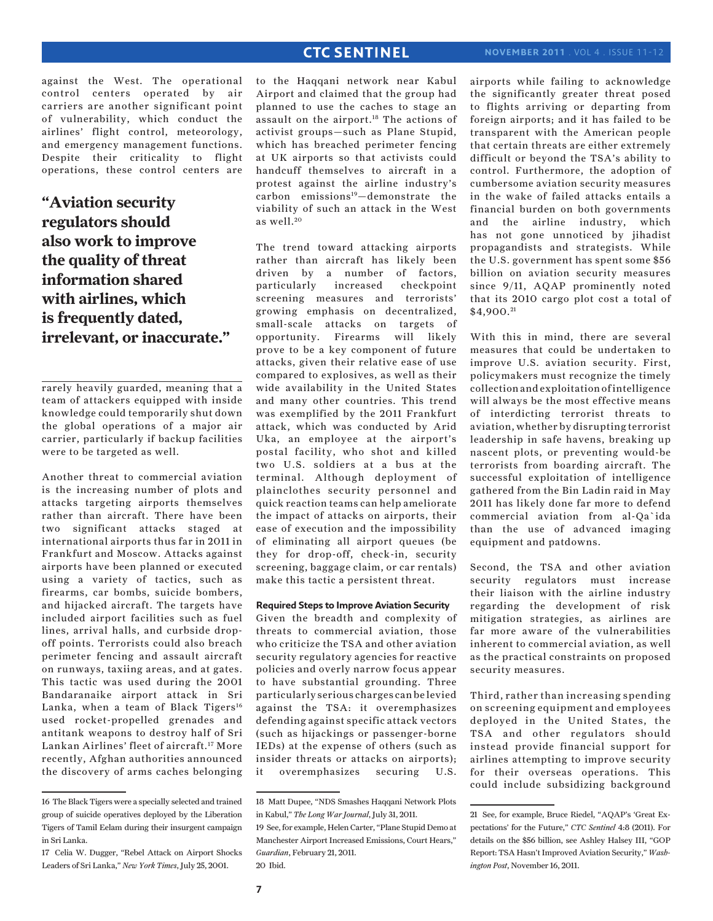against the West. The operational control centers operated by air carriers are another significant point of vulnerability, which conduct the airlines' flight control, meteorology, and emergency management functions. Despite their criticality to flight operations, these control centers are

**"Aviation security regulators should also work to improve the quality of threat information shared with airlines, which is frequently dated, irrelevant, or inaccurate."**

rarely heavily guarded, meaning that a team of attackers equipped with inside knowledge could temporarily shut down the global operations of a major air carrier, particularly if backup facilities were to be targeted as well.

Another threat to commercial aviation is the increasing number of plots and attacks targeting airports themselves rather than aircraft. There have been two significant attacks staged at international airports thus far in 2011 in Frankfurt and Moscow. Attacks against airports have been planned or executed using a variety of tactics, such as firearms, car bombs, suicide bombers, and hijacked aircraft. The targets have included airport facilities such as fuel lines, arrival halls, and curbside dropoff points. Terrorists could also breach perimeter fencing and assault aircraft on runways, taxiing areas, and at gates. This tactic was used during the 2001 Bandaranaike airport attack in Sri Lanka, when a team of Black Tigers<sup>16</sup> used rocket-propelled grenades and antitank weapons to destroy half of Sri Lankan Airlines' fleet of aircraft.17 More recently, Afghan authorities announced the discovery of arms caches belonging to the Haqqani network near Kabul Airport and claimed that the group had planned to use the caches to stage an assault on the airport.<sup>18</sup> The actions of activist groups—such as Plane Stupid, which has breached perimeter fencing at UK airports so that activists could handcuff themselves to aircraft in a protest against the airline industry's carbon emissions19—demonstrate the viability of such an attack in the West as well. $20$ 

The trend toward attacking airports rather than aircraft has likely been driven by a number of factors, particularly increased checkpoint screening measures and terrorists' growing emphasis on decentralized, small-scale attacks on targets of opportunity. Firearms will likely prove to be a key component of future attacks, given their relative ease of use compared to explosives, as well as their wide availability in the United States and many other countries. This trend was exemplified by the 2011 Frankfurt attack, which was conducted by Arid Uka, an employee at the airport's postal facility, who shot and killed two U.S. soldiers at a bus at the terminal. Although deployment of plainclothes security personnel and quick reaction teams can help ameliorate the impact of attacks on airports, their ease of execution and the impossibility of eliminating all airport queues (be they for drop-off, check-in, security screening, baggage claim, or car rentals) make this tactic a persistent threat.

## **Required Steps to Improve Aviation Security**

Given the breadth and complexity of threats to commercial aviation, those who criticize the TSA and other aviation security regulatory agencies for reactive policies and overly narrow focus appear to have substantial grounding. Three particularly serious charges can be levied against the TSA: it overemphasizes defending against specific attack vectors (such as hijackings or passenger-borne IEDs) at the expense of others (such as insider threats or attacks on airports); it overemphasizes securing U.S. airports while failing to acknowledge the significantly greater threat posed to flights arriving or departing from foreign airports; and it has failed to be transparent with the American people that certain threats are either extremely difficult or beyond the TSA's ability to control. Furthermore, the adoption of cumbersome aviation security measures in the wake of failed attacks entails a financial burden on both governments and the airline industry, which has not gone unnoticed by jihadist propagandists and strategists. While the U.S. government has spent some \$56 billion on aviation security measures since 9/11, AQAP prominently noted that its 2010 cargo plot cost a total of \$4,900. <sup>21</sup>

With this in mind, there are several measures that could be undertaken to improve U.S. aviation security. First, policymakers must recognize the timely collection and exploitation of intelligence will always be the most effective means of interdicting terrorist threats to aviation, whether by disrupting terrorist leadership in safe havens, breaking up nascent plots, or preventing would-be terrorists from boarding aircraft. The successful exploitation of intelligence gathered from the Bin Ladin raid in May 2011 has likely done far more to defend commercial aviation from al-Qa`ida than the use of advanced imaging equipment and patdowns.

Second, the TSA and other aviation security regulators must increase their liaison with the airline industry regarding the development of risk mitigation strategies, as airlines are far more aware of the vulnerabilities inherent to commercial aviation, as well as the practical constraints on proposed security measures.

Third, rather than increasing spending on screening equipment and employees deployed in the United States, the TSA and other regulators should instead provide financial support for airlines attempting to improve security for their overseas operations. This could include subsidizing background

<sup>16</sup> The Black Tigers were a specially selected and trained group of suicide operatives deployed by the Liberation Tigers of Tamil Eelam during their insurgent campaign in Sri Lanka.

<sup>17</sup> Celia W. Dugger, "Rebel Attack on Airport Shocks Leaders of Sri Lanka," *New York Times*, July 25, 2001.

<sup>18</sup> Matt Dupee, "NDS Smashes Haqqani Network Plots in Kabul," *The Long War Journal*, July 31, 2011.

<sup>19</sup> See, for example, Helen Carter, "Plane Stupid Demo at Manchester Airport Increased Emissions, Court Hears," *Guardian*, February 21, 2011. 20 Ibid.

<sup>21</sup> See, for example, Bruce Riedel, "AQAP's 'Great Expectations' for the Future," *CTC Sentinel* 4:8 (2011). For details on the \$56 billion, see Ashley Halsey III, "GOP Report: TSA Hasn't Improved Aviation Security," *Washington Post*, November 16, 2011.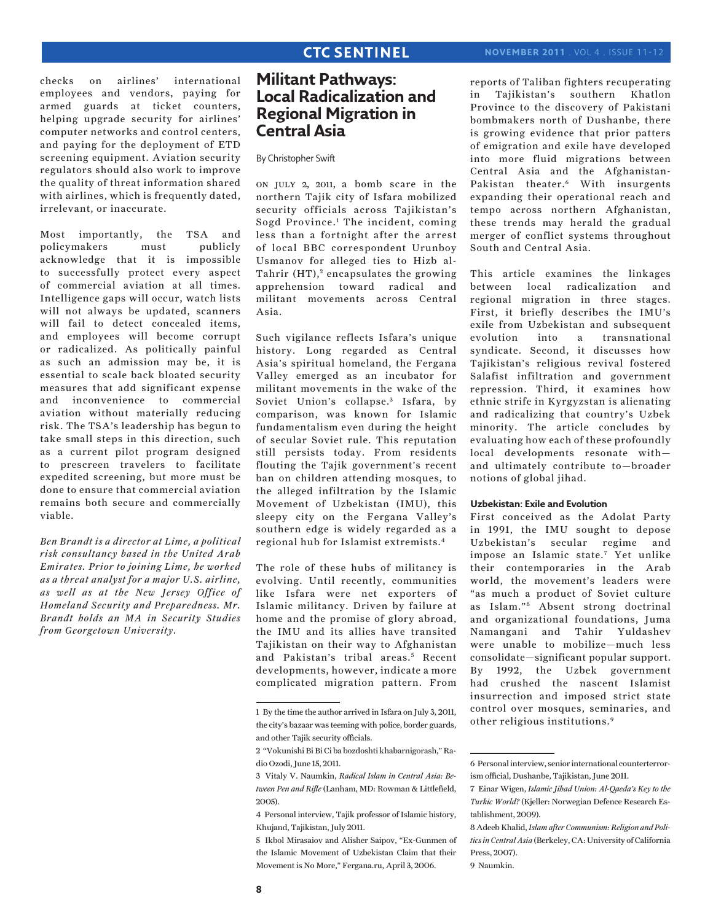checks on airlines' international employees and vendors, paying for armed guards at ticket counters, helping upgrade security for airlines' computer networks and control centers, and paying for the deployment of ETD screening equipment. Aviation security regulators should also work to improve the quality of threat information shared with airlines, which is frequently dated, irrelevant, or inaccurate.

Most importantly, the TSA and policymakers must publicly acknowledge that it is impossible to successfully protect every aspect of commercial aviation at all times. Intelligence gaps will occur, watch lists will not always be updated, scanners will fail to detect concealed items, and employees will become corrupt or radicalized. As politically painful as such an admission may be, it is essential to scale back bloated security measures that add significant expense and inconvenience to commercial aviation without materially reducing risk. The TSA's leadership has begun to take small steps in this direction, such as a current pilot program designed to prescreen travelers to facilitate expedited screening, but more must be done to ensure that commercial aviation remains both secure and commercially viable.

*Ben Brandt is a director at Lime, a political risk consultancy based in the United Arab Emirates. Prior to joining Lime, he worked as a threat analyst for a major U.S. airline, as well as at the New Jersey Office of Homeland Security and Preparedness. Mr. Brandt holds an MA in Security Studies from Georgetown University.*

## **Militant Pathways: Local Radicalization and Regional Migration in Central Asia**

By Christopher Swift

on july 2, 2011, a bomb scare in the northern Tajik city of Isfara mobilized security officials across Tajikistan's Sogd Province.1 The incident, coming less than a fortnight after the arrest of local BBC correspondent Urunboy Usmanov for alleged ties to Hizb al-Tahrir  $(HT)$ ,<sup>2</sup> encapsulates the growing apprehension toward radical and militant movements across Central Asia.

Such vigilance reflects Isfara's unique history. Long regarded as Central Asia's spiritual homeland, the Fergana Valley emerged as an incubator for militant movements in the wake of the Soviet Union's collapse.<sup>3</sup> Isfara, by comparison, was known for Islamic fundamentalism even during the height of secular Soviet rule. This reputation still persists today. From residents flouting the Tajik government's recent ban on children attending mosques, to the alleged infiltration by the Islamic Movement of Uzbekistan (IMU), this sleepy city on the Fergana Valley's southern edge is widely regarded as a regional hub for Islamist extremists.4

The role of these hubs of militancy is evolving. Until recently, communities like Isfara were net exporters of Islamic militancy. Driven by failure at home and the promise of glory abroad, the IMU and its allies have transited Tajikistan on their way to Afghanistan and Pakistan's tribal areas.<sup>5</sup> Recent developments, however, indicate a more complicated migration pattern. From reports of Taliban fighters recuperating in Tajikistan's southern Khatlon Province to the discovery of Pakistani bombmakers north of Dushanbe, there is growing evidence that prior patters of emigration and exile have developed into more fluid migrations between Central Asia and the Afghanistan-Pakistan theater.6 With insurgents expanding their operational reach and tempo across northern Afghanistan, these trends may herald the gradual merger of conflict systems throughout South and Central Asia.

This article examines the linkages between local radicalization and regional migration in three stages. First, it briefly describes the IMU's exile from Uzbekistan and subsequent evolution into a transnational syndicate. Second, it discusses how Tajikistan's religious revival fostered Salafist infiltration and government repression. Third, it examines how ethnic strife in Kyrgyzstan is alienating and radicalizing that country's Uzbek minority. The article concludes by evaluating how each of these profoundly local developments resonate with and ultimately contribute to—broader notions of global jihad.

### **Uzbekistan: Exile and Evolution**

First conceived as the Adolat Party in 1991, the IMU sought to depose Uzbekistan's secular regime and impose an Islamic state.7 Yet unlike their contemporaries in the Arab world, the movement's leaders were "as much a product of Soviet culture as Islam."8 Absent strong doctrinal and organizational foundations, Juma Namangani and Tahir Yuldashev were unable to mobilize—much less consolidate—significant popular support. By 1992, the Uzbek government had crushed the nascent Islamist insurrection and imposed strict state control over mosques, seminaries, and other religious institutions.9

<sup>1</sup> By the time the author arrived in Isfara on July 3, 2011, the city's bazaar was teeming with police, border guards, and other Tajik security officials.

<sup>2 &</sup>quot;Vokunishi Bi Bi Ci ba bozdoshti khabarnigorash," Radio Ozodi, June 15, 2011.

<sup>3</sup> Vitaly V. Naumkin, *Radical Islam in Central Asia: Between Pen and Rifle* (Lanham, MD: Rowman & Littlefield, 2005).

<sup>4</sup> Personal interview, Tajik professor of Islamic history, Khujand, Tajikistan, July 2011.

<sup>5</sup> Ikbol Mirasaiov and Alisher Saipov, "Ex-Gunmen of the Islamic Movement of Uzbekistan Claim that their Movement is No More," Fergana.ru, April 3, 2006.

<sup>6</sup> Personal interview, senior international counterterrorism official, Dushanbe, Tajikistan, June 2011.

<sup>7</sup> Einar Wigen, *Islamic Jihad Union: Al-Qaeda's Key to the Turkic World?* (Kjeller: Norwegian Defence Research Establishment, 2009).

<sup>8</sup> Adeeb Khalid, *Islam after Communism: Religion and Politics in Central Asia* (Berkeley, CA: University of California Press, 2007).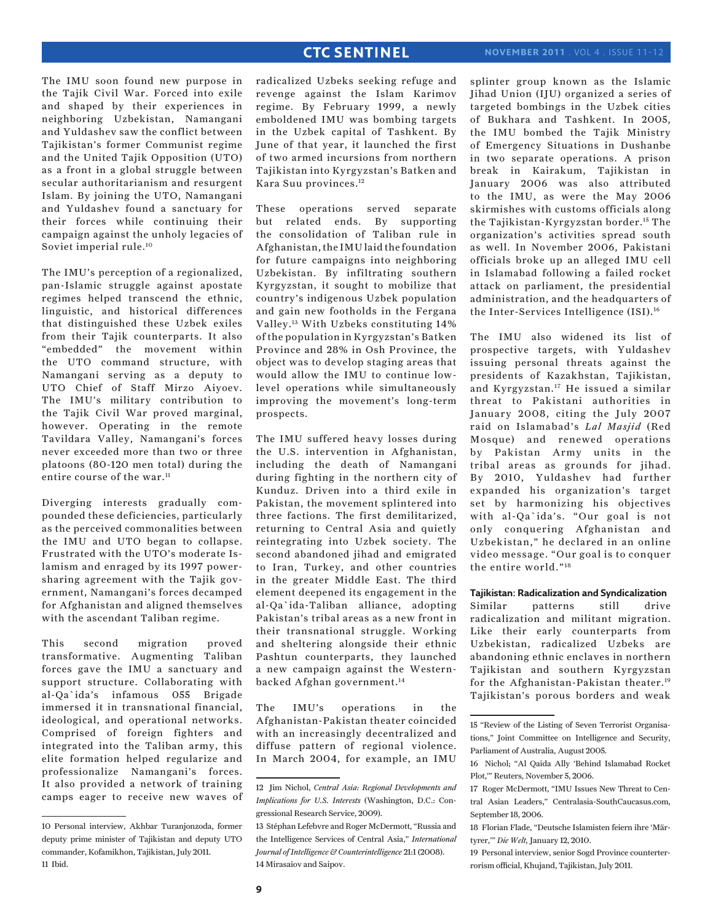The IMU soon found new purpose in the Tajik Civil War. Forced into exile and shaped by their experiences in neighboring Uzbekistan, Namangani and Yuldashev saw the conflict between Tajikistan's former Communist regime and the United Tajik Opposition (UTO) as a front in a global struggle between secular authoritarianism and resurgent Islam. By joining the UTO, Namangani and Yuldashev found a sanctuary for their forces while continuing their campaign against the unholy legacies of Soviet imperial rule.10

The IMU's perception of a regionalized, pan-Islamic struggle against apostate regimes helped transcend the ethnic, linguistic, and historical differences that distinguished these Uzbek exiles from their Tajik counterparts. It also "embedded" the movement within the UTO command structure, with Namangani serving as a deputy to UTO Chief of Staff Mirzo Aiyoev. The IMU's military contribution to the Tajik Civil War proved marginal, however. Operating in the remote Tavildara Valley, Namangani's forces never exceeded more than two or three platoons (80-120 men total) during the entire course of the war.<sup>11</sup>

Diverging interests gradually compounded these deficiencies, particularly as the perceived commonalities between the IMU and UTO began to collapse. Frustrated with the UTO's moderate Islamism and enraged by its 1997 powersharing agreement with the Tajik government, Namangani's forces decamped for Afghanistan and aligned themselves with the ascendant Taliban regime.

This second migration proved transformative. Augmenting Taliban forces gave the IMU a sanctuary and support structure. Collaborating with al-Qa`ida's infamous 055 Brigade immersed it in transnational financial, ideological, and operational networks. Comprised of foreign fighters and integrated into the Taliban army, this elite formation helped regularize and professionalize Namangani's forces. It also provided a network of training camps eager to receive new waves of radicalized Uzbeks seeking refuge and revenge against the Islam Karimov regime. By February 1999, a newly emboldened IMU was bombing targets in the Uzbek capital of Tashkent. By June of that year, it launched the first of two armed incursions from northern Tajikistan into Kyrgyzstan's Batken and Kara Suu provinces.12

These operations served separate but related ends. By supporting the consolidation of Taliban rule in Afghanistan, the IMU laid the foundation for future campaigns into neighboring Uzbekistan. By infiltrating southern Kyrgyzstan, it sought to mobilize that country's indigenous Uzbek population and gain new footholds in the Fergana Valley.13 With Uzbeks constituting 14% of the population in Kyrgyzstan's Batken Province and 28% in Osh Province, the object was to develop staging areas that would allow the IMU to continue lowlevel operations while simultaneously improving the movement's long-term prospects.

The IMU suffered heavy losses during the U.S. intervention in Afghanistan, including the death of Namangani during fighting in the northern city of Kunduz. Driven into a third exile in Pakistan, the movement splintered into three factions. The first demilitarized, returning to Central Asia and quietly reintegrating into Uzbek society. The second abandoned jihad and emigrated to Iran, Turkey, and other countries in the greater Middle East. The third element deepened its engagement in the al-Qa`ida-Taliban alliance, adopting Pakistan's tribal areas as a new front in their transnational struggle. Working and sheltering alongside their ethnic Pashtun counterparts, they launched a new campaign against the Westernbacked Afghan government.14

The IMU's operations in the Afghanistan-Pakistan theater coincided with an increasingly decentralized and diffuse pattern of regional violence. In March 2004, for example, an IMU

splinter group known as the Islamic Jihad Union (IJU) organized a series of targeted bombings in the Uzbek cities of Bukhara and Tashkent. In 2005, the IMU bombed the Tajik Ministry of Emergency Situations in Dushanbe in two separate operations. A prison break in Kairakum, Tajikistan in January 2006 was also attributed to the IMU, as were the May 2006 skirmishes with customs officials along the Tajikistan-Kyrgyzstan border.15 The organization's activities spread south as well. In November 2006, Pakistani officials broke up an alleged IMU cell in Islamabad following a failed rocket attack on parliament, the presidential administration, and the headquarters of the Inter-Services Intelligence (ISI).16

The IMU also widened its list of prospective targets, with Yuldashev issuing personal threats against the presidents of Kazakhstan, Tajikistan, and Kyrgyzstan.17 He issued a similar threat to Pakistani authorities in January 2008, citing the July 2007 raid on Islamabad's *Lal Masjid* (Red Mosque) and renewed operations by Pakistan Army units in the tribal areas as grounds for jihad. By 2010, Yuldashev had further expanded his organization's target set by harmonizing his objectives with al-Qa`ida's. "Our goal is not only conquering Afghanistan and Uzbekistan," he declared in an online video message. "Our goal is to conquer the entire world."18

**Tajikistan: Radicalization and Syndicalization** Similar patterns still drive radicalization and militant migration. Like their early counterparts from Uzbekistan, radicalized Uzbeks are abandoning ethnic enclaves in northern Tajikistan and southern Kyrgyzstan for the Afghanistan-Pakistan theater.19 Tajikistan's porous borders and weak

<sup>10</sup> Personal interview, Akhbar Turanjonzoda, former deputy prime minister of Tajikistan and deputy UTO commander, Kofamikhon, Tajikistan, July 2011. 11 Ibid.

<sup>12</sup> Jim Nichol, *Central Asia: Regional Developments and Implications for U.S. Interests* (Washington, D.C.: Congressional Research Service, 2009).

<sup>13</sup> Stéphan Lefebvre and Roger McDermott, "Russia and the Intelligence Services of Central Asia," *International Journal of Intelligence & Counterintelligence* 21:1 (2008). 14 Mirasaiov and Saipov.

<sup>15 &</sup>quot;Review of the Listing of Seven Terrorist Organisations," Joint Committee on Intelligence and Security, Parliament of Australia, August 2005.

<sup>16</sup> Nichol; "Al Qaida Ally 'Behind Islamabad Rocket Plot,'" Reuters, November 5, 2006.

<sup>17</sup> Roger McDermott, "IMU Issues New Threat to Central Asian Leaders," Centralasia-SouthCaucasus.com, September 18, 2006.

<sup>18</sup> Florian Flade, "Deutsche Islamisten feiern ihre 'Märtyrer,'" *Die Welt,* January 12, 2010.

<sup>19</sup> Personal interview, senior Sogd Province counterterrorism official, Khujand, Tajikistan, July 2011.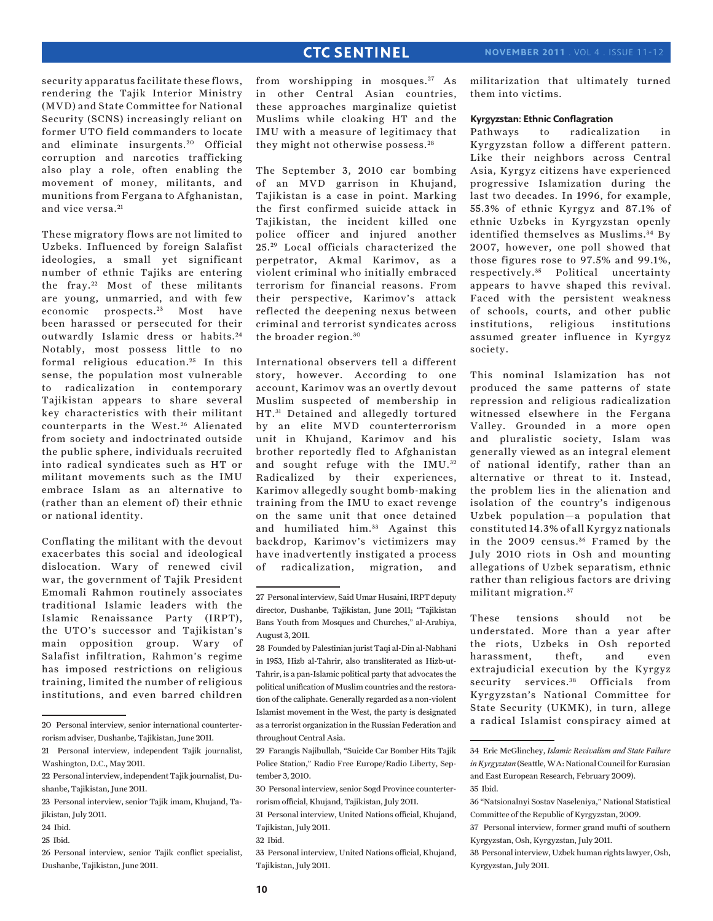security apparatus facilitate these flows, rendering the Tajik Interior Ministry (MVD) and State Committee for National Security (SCNS) increasingly reliant on former UTO field commanders to locate and eliminate insurgents.<sup>20</sup> Official corruption and narcotics trafficking also play a role, often enabling the movement of money, militants, and munitions from Fergana to Afghanistan, and vice versa.<sup>21</sup>

These migratory flows are not limited to Uzbeks. Influenced by foreign Salafist ideologies, a small yet significant number of ethnic Tajiks are entering the fray. 22 Most of these militants are young, unmarried, and with few economic prospects.<sup>23</sup> Most have been harassed or persecuted for their outwardly Islamic dress or habits.<sup>24</sup> Notably, most possess little to no formal religious education.<sup>25</sup> In this sense, the population most vulnerable to radicalization in contemporary Tajikistan appears to share several key characteristics with their militant counterparts in the West.<sup>26</sup> Alienated from society and indoctrinated outside the public sphere, individuals recruited into radical syndicates such as HT or militant movements such as the IMU embrace Islam as an alternative to (rather than an element of) their ethnic or national identity.

Conflating the militant with the devout exacerbates this social and ideological dislocation. Wary of renewed civil war, the government of Tajik President Emomali Rahmon routinely associates traditional Islamic leaders with the Islamic Renaissance Party (IRPT), the UTO's successor and Tajikistan's main opposition group. Wary of Salafist infiltration, Rahmon's regime has imposed restrictions on religious training, limited the number of religious institutions, and even barred children

from worshipping in mosques.<sup>27</sup> As in other Central Asian countries, these approaches marginalize quietist Muslims while cloaking HT and the IMU with a measure of legitimacy that they might not otherwise possess.<sup>28</sup>

The September 3, 2010 car bombing of an MVD garrison in Khujand, Tajikistan is a case in point. Marking the first confirmed suicide attack in Tajikistan, the incident killed one police officer and injured another 25. 29 Local officials characterized the perpetrator, Akmal Karimov, as a violent criminal who initially embraced terrorism for financial reasons. From their perspective, Karimov's attack reflected the deepening nexus between criminal and terrorist syndicates across the broader region.<sup>30</sup>

International observers tell a different story, however. According to one account, Karimov was an overtly devout Muslim suspected of membership in HT.<sup>31</sup> Detained and allegedly tortured by an elite MVD counterterrorism unit in Khujand, Karimov and his brother reportedly fled to Afghanistan and sought refuge with the IMU.<sup>32</sup> Radicalized by their experiences, Karimov allegedly sought bomb-making training from the IMU to exact revenge on the same unit that once detained and humiliated him.<sup>33</sup> Against this backdrop, Karimov's victimizers may have inadvertently instigated a process of radicalization, migration, and

29 Farangis Najibullah, "Suicide Car Bomber Hits Tajik Police Station," Radio Free Europe/Radio Liberty, September 3, 2010.

militarization that ultimately turned them into victims.

#### **Kyrgyzstan: Ethnic Conflagration**

Pathways to radicalization in Kyrgyzstan follow a different pattern. Like their neighbors across Central Asia, Kyrgyz citizens have experienced progressive Islamization during the last two decades. In 1996, for example, 55.3% of ethnic Kyrgyz and 87.1% of ethnic Uzbeks in Kyrgyzstan openly identified themselves as Muslims.<sup>34</sup> By 2007, however, one poll showed that those figures rose to 97.5% and 99.1%, respectively. 35 Political uncertainty appears to havve shaped this revival. Faced with the persistent weakness of schools, courts, and other public institutions, religious institutions assumed greater influence in Kyrgyz society.

This nominal Islamization has not produced the same patterns of state repression and religious radicalization witnessed elsewhere in the Fergana Valley. Grounded in a more open and pluralistic society, Islam was generally viewed as an integral element of national identify, rather than an alternative or threat to it. Instead, the problem lies in the alienation and isolation of the country's indigenous Uzbek population—a population that constituted 14.3% of all Kyrgyz nationals in the 2009 census.<sup>36</sup> Framed by the July 2010 riots in Osh and mounting allegations of Uzbek separatism, ethnic rather than religious factors are driving militant migration. <sup>37</sup>

These tensions should not be understated. More than a year after the riots, Uzbeks in Osh reported harassment, theft, and even extrajudicial execution by the Kyrgyz security services.<sup>38</sup> Officials from Kyrgyzstan's National Committee for State Security (UKMK), in turn, allege a radical Islamist conspiracy aimed at

<sup>20</sup> Personal interview, senior international counterterrorism adviser, Dushanbe, Tajikistan, June 2011.

<sup>21</sup> Personal interview, independent Tajik journalist, Washington, D.C., May 2011.

<sup>22</sup> Personal interview, independent Tajik journalist, Dushanbe, Tajikistan, June 2011.

<sup>23</sup> Personal interview, senior Tajik imam, Khujand, Tajikistan, July 2011.

<sup>24</sup> Ibid.

<sup>25</sup> Ibid.

<sup>26</sup> Personal interview, senior Tajik conflict specialist, Dushanbe, Tajikistan, June 2011.

<sup>27</sup> Personal interview, Said Umar Husaini, IRPT deputy director, Dushanbe, Tajikistan, June 2011; "Tajikistan Bans Youth from Mosques and Churches," al-Arabiya, August 3, 2011.

<sup>28</sup> Founded by Palestinian jurist Taqi al-Din al-Nabhani in 1953, Hizb al-Tahrir, also transliterated as Hizb-ut-Tahrir, is a pan-Islamic political party that advocates the political unification of Muslim countries and the restoration of the caliphate. Generally regarded as a non-violent Islamist movement in the West, the party is designated as a terrorist organization in the Russian Federation and throughout Central Asia.

<sup>30</sup> Personal interview, senior Sogd Province counterterrorism official, Khujand, Tajikistan, July 2011.

<sup>31</sup> Personal interview, United Nations official, Khujand, Tajikistan, July 2011.

<sup>32</sup> Ibid.

<sup>33</sup> Personal interview, United Nations official, Khujand, Tajikistan, July 2011.

<sup>34</sup> Eric McGlinchey, *Islamic Revivalism and State Failure in Kyrgyzstan* (Seattle, WA: National Council for Eurasian and East European Research, February 2009). 35 Ibid.

<sup>36 &</sup>quot;Natsionalnyi Sostav Naseleniya," National Statistical Committee of the Republic of Kyrgyzstan, 2009.

<sup>37</sup> Personal interview, former grand mufti of southern Kyrgyzstan, Osh, Kyrgyzstan, July 2011.

<sup>38</sup> Personal interview, Uzbek human rights lawyer, Osh, Kyrgyzstan, July 2011.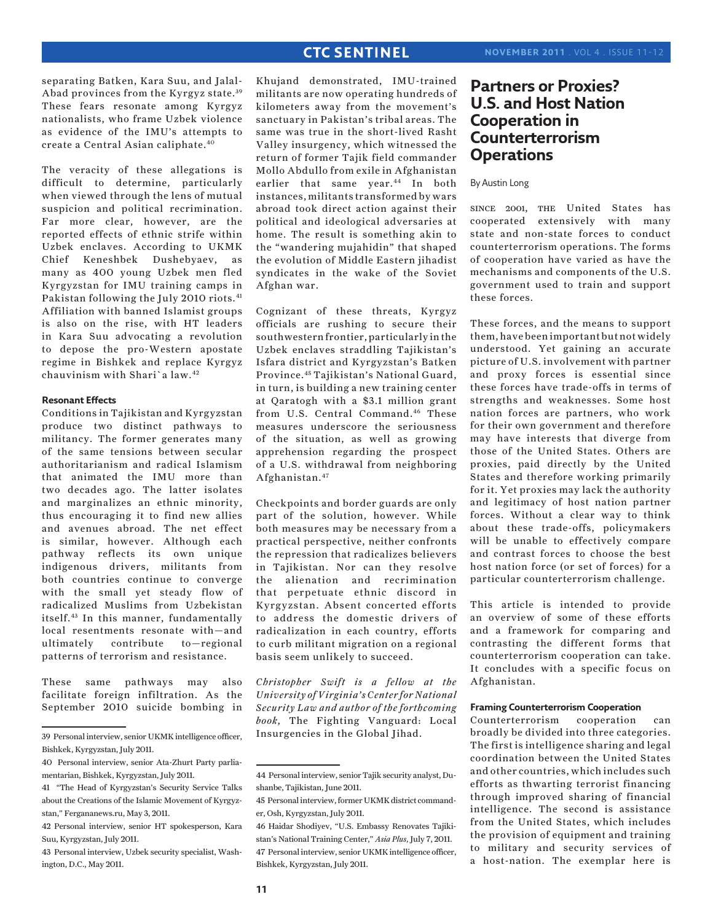separating Batken, Kara Suu, and Jalal-Abad provinces from the Kyrgyz state.<sup>39</sup> These fears resonate among Kyrgyz nationalists, who frame Uzbek violence as evidence of the IMU's attempts to create a Central Asian caliphate.40

The veracity of these allegations is difficult to determine, particularly when viewed through the lens of mutual suspicion and political recrimination. Far more clear, however, are the reported effects of ethnic strife within Uzbek enclaves. According to UKMK Chief Keneshbek Dushebyaev, as many as 400 young Uzbek men fled Kyrgyzstan for IMU training camps in Pakistan following the July 2010 riots.<sup>41</sup> Affiliation with banned Islamist groups is also on the rise, with HT leaders in Kara Suu advocating a revolution to depose the pro-Western apostate regime in Bishkek and replace Kyrgyz chauvinism with Shari`a law.42

## **Resonant Effects**

Conditions in Tajikistan and Kyrgyzstan produce two distinct pathways to militancy. The former generates many of the same tensions between secular authoritarianism and radical Islamism that animated the IMU more than two decades ago. The latter isolates and marginalizes an ethnic minority, thus encouraging it to find new allies and avenues abroad. The net effect is similar, however. Although each pathway reflects its own unique indigenous drivers, militants from both countries continue to converge with the small yet steady flow of radicalized Muslims from Uzbekistan itself.43 In this manner, fundamentally local resentments resonate with—and ultimately contribute to—regional patterns of terrorism and resistance.

These same pathways may also facilitate foreign infiltration. As the September 2010 suicide bombing in

Khujand demonstrated, IMU-trained militants are now operating hundreds of kilometers away from the movement's sanctuary in Pakistan's tribal areas. The same was true in the short-lived Rasht Valley insurgency, which witnessed the return of former Tajik field commander Mollo Abdullo from exile in Afghanistan earlier that same year.<sup>44</sup> In both instances, militants transformed by wars abroad took direct action against their political and ideological adversaries at home. The result is something akin to the "wandering mujahidin" that shaped the evolution of Middle Eastern jihadist syndicates in the wake of the Soviet Afghan war.

Cognizant of these threats, Kyrgyz officials are rushing to secure their southwestern frontier, particularly in the Uzbek enclaves straddling Tajikistan's Isfara district and Kyrgyzstan's Batken Province.45 Tajikistan's National Guard, in turn, is building a new training center at Qaratogh with a \$3.1 million grant from U.S. Central Command.<sup>46</sup> These measures underscore the seriousness of the situation, as well as growing apprehension regarding the prospect of a U.S. withdrawal from neighboring Afghanistan.47

Checkpoints and border guards are only part of the solution, however. While both measures may be necessary from a practical perspective, neither confronts the repression that radicalizes believers in Tajikistan. Nor can they resolve the alienation and recrimination that perpetuate ethnic discord in Kyrgyzstan. Absent concerted efforts to address the domestic drivers of radicalization in each country, efforts to curb militant migration on a regional basis seem unlikely to succeed.

*Christopher Swift is a fellow at the University of Virginia's Center for National Security Law and author of the forthcoming book,* The Fighting Vanguard: Local Insurgencies in the Global Jihad.

## **Partners or Proxies? U.S. and Host Nation Cooperation in Counterterrorism Operations**

## By Austin Long

since 2001, the United States has cooperated extensively with many state and non-state forces to conduct counterterrorism operations. The forms of cooperation have varied as have the mechanisms and components of the U.S. government used to train and support these forces.

These forces, and the means to support them, have been important but not widely understood. Yet gaining an accurate picture of U.S. involvement with partner and proxy forces is essential since these forces have trade-offs in terms of strengths and weaknesses. Some host nation forces are partners, who work for their own government and therefore may have interests that diverge from those of the United States. Others are proxies, paid directly by the United States and therefore working primarily for it. Yet proxies may lack the authority and legitimacy of host nation partner forces. Without a clear way to think about these trade-offs, policymakers will be unable to effectively compare and contrast forces to choose the best host nation force (or set of forces) for a particular counterterrorism challenge.

This article is intended to provide an overview of some of these efforts and a framework for comparing and contrasting the different forms that counterterrorism cooperation can take. It concludes with a specific focus on Afghanistan.

## **Framing Counterterrorism Cooperation**

Counterterrorism cooperation can broadly be divided into three categories. The first is intelligence sharing and legal coordination between the United States and other countries, which includes such efforts as thwarting terrorist financing through improved sharing of financial intelligence. The second is assistance from the United States, which includes the provision of equipment and training to military and security services of a host-nation. The exemplar here is

<sup>39</sup> Personal interview, senior UKMK intelligence officer, Bishkek, Kyrgyzstan, July 2011.

<sup>40</sup> Personal interview, senior Ata-Zhurt Party parliamentarian, Bishkek, Kyrgyzstan, July 2011.

<sup>41 &</sup>quot;The Head of Kyrgyzstan's Security Service Talks about the Creations of the Islamic Movement of Kyrgyzstan," Fergananews.ru, May 3, 2011.

<sup>42</sup> Personal interview, senior HT spokesperson, Kara Suu, Kyrgyzstan, July 2011.

<sup>43</sup> Personal interview, Uzbek security specialist, Washington, D.C., May 2011.

<sup>44</sup> Personal interview, senior Tajik security analyst, Dushanbe, Tajikistan, June 2011.

<sup>45</sup> Personal interview, former UKMK district commander, Osh, Kyrgyzstan, July 2011.

<sup>46</sup> Haidar Shodiyev, "U.S. Embassy Renovates Tajikistan's National Training Center," *Asia Plus*, July 7, 2011. 47 Personal interview, senior UKMK intelligence officer, Bishkek, Kyrgyzstan, July 2011.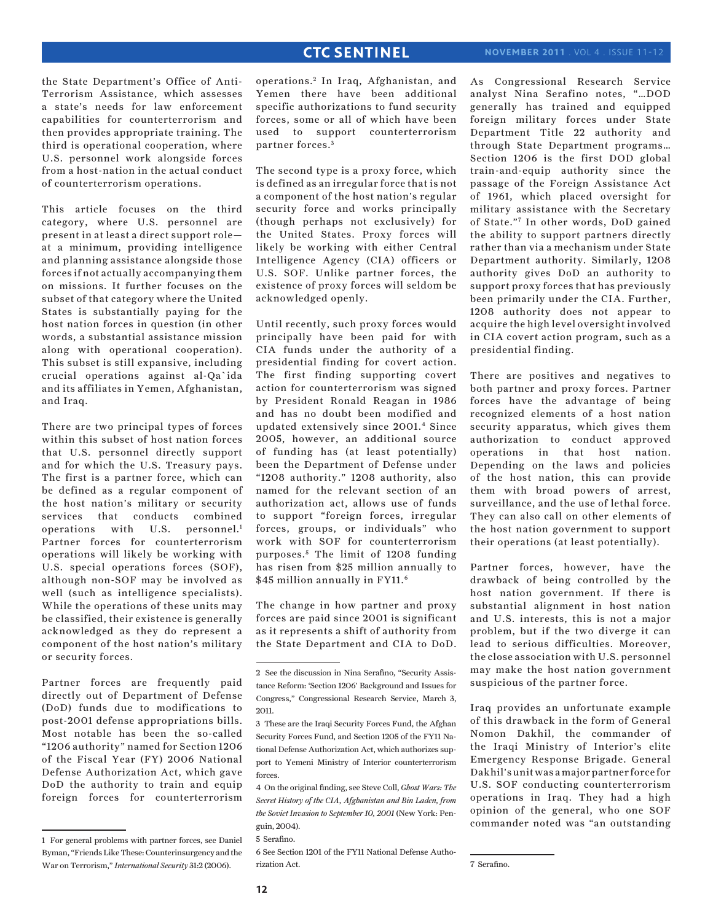the State Department's Office of Anti-Terrorism Assistance, which assesses a state's needs for law enforcement capabilities for counterterrorism and then provides appropriate training. The third is operational cooperation, where U.S. personnel work alongside forces from a host-nation in the actual conduct of counterterrorism operations.

This article focuses on the third category, where U.S. personnel are present in at least a direct support role at a minimum, providing intelligence and planning assistance alongside those forces if not actually accompanying them on missions. It further focuses on the subset of that category where the United States is substantially paying for the host nation forces in question (in other words, a substantial assistance mission along with operational cooperation). This subset is still expansive, including crucial operations against al-Qa`ida and its affiliates in Yemen, Afghanistan, and Iraq.

There are two principal types of forces within this subset of host nation forces that U.S. personnel directly support and for which the U.S. Treasury pays. The first is a partner force, which can be defined as a regular component of the host nation's military or security services that conducts combined operations with U.S. personnel.<sup>1</sup> Partner forces for counterterrorism operations will likely be working with U.S. special operations forces (SOF), although non-SOF may be involved as well (such as intelligence specialists). While the operations of these units may be classified, their existence is generally acknowledged as they do represent a component of the host nation's military or security forces.

Partner forces are frequently paid directly out of Department of Defense (DoD) funds due to modifications to post-2001 defense appropriations bills. Most notable has been the so-called "1206 authority" named for Section 1206 of the Fiscal Year (FY) 2006 National Defense Authorization Act, which gave DoD the authority to train and equip foreign forces for counterterrorism

operations.<sup>2</sup> In Iraq, Afghanistan, and Yemen there have been additional specific authorizations to fund security forces, some or all of which have been used to support counterterrorism partner forces. <sup>3</sup>

The second type is a proxy force, which is defined as an irregular force that is not a component of the host nation's regular security force and works principally (though perhaps not exclusively) for the United States. Proxy forces will likely be working with either Central Intelligence Agency (CIA) officers or U.S. SOF. Unlike partner forces, the existence of proxy forces will seldom be acknowledged openly.

Until recently, such proxy forces would principally have been paid for with CIA funds under the authority of a presidential finding for covert action. The first finding supporting covert action for counterterrorism was signed by President Ronald Reagan in 1986 and has no doubt been modified and updated extensively since 2001.4 Since 2005, however, an additional source of funding has (at least potentially) been the Department of Defense under "1208 authority." 1208 authority, also named for the relevant section of an authorization act, allows use of funds to support "foreign forces, irregular forces, groups, or individuals" who work with SOF for counterterrorism purposes.<sup>5</sup> The limit of 1208 funding has risen from \$25 million annually to \$45 million annually in FY11.<sup>6</sup>

The change in how partner and proxy forces are paid since 2001 is significant as it represents a shift of authority from the State Department and CIA to DoD. As Congressional Research Service analyst Nina Serafino notes, "…DOD generally has trained and equipped foreign military forces under State Department Title 22 authority and through State Department programs… Section 1206 is the first DOD global train-and-equip authority since the passage of the Foreign Assistance Act of 1961, which placed oversight for military assistance with the Secretary of State."7 In other words, DoD gained the ability to support partners directly rather than via a mechanism under State Department authority. Similarly, 1208 authority gives DoD an authority to support proxy forces that has previously been primarily under the CIA. Further, 1208 authority does not appear to acquire the high level oversight involved in CIA covert action program, such as a presidential finding.

There are positives and negatives to both partner and proxy forces. Partner forces have the advantage of being recognized elements of a host nation security apparatus, which gives them authorization to conduct approved operations in that host nation. Depending on the laws and policies of the host nation, this can provide them with broad powers of arrest, surveillance, and the use of lethal force. They can also call on other elements of the host nation government to support their operations (at least potentially).

Partner forces, however, have the drawback of being controlled by the host nation government. If there is substantial alignment in host nation and U.S. interests, this is not a major problem, but if the two diverge it can lead to serious difficulties. Moreover, the close association with U.S. personnel may make the host nation government suspicious of the partner force.

Iraq provides an unfortunate example of this drawback in the form of General Nomon Dakhil, the commander of the Iraqi Ministry of Interior's elite Emergency Response Brigade. General Dakhil's unit was a major partner force for U.S. SOF conducting counterterrorism operations in Iraq. They had a high opinion of the general, who one SOF commander noted was "an outstanding

<sup>1</sup> For general problems with partner forces, see Daniel Byman, "Friends Like These: Counterinsurgency and the War on Terrorism," *International Security* 31:2 (2006).

<sup>2</sup> See the discussion in Nina Serafino, "Security Assistance Reform: 'Section 1206' Background and Issues for Congress," Congressional Research Service, March 3, 2011.

<sup>3</sup> These are the Iraqi Security Forces Fund, the Afghan Security Forces Fund, and Section 1205 of the FY11 National Defense Authorization Act, which authorizes support to Yemeni Ministry of Interior counterterrorism forces.

<sup>4</sup> On the original finding, see Steve Coll, *Ghost Wars: The Secret History of the CIA, Afghanistan and Bin Laden, from the Soviet Invasion to September 10, 2001* (New York: Penguin, 2004).

<sup>5</sup> Serafino.

<sup>6</sup> See Section 1201 of the FY11 National Defense Authorization Act.

<sup>7</sup> Serafino.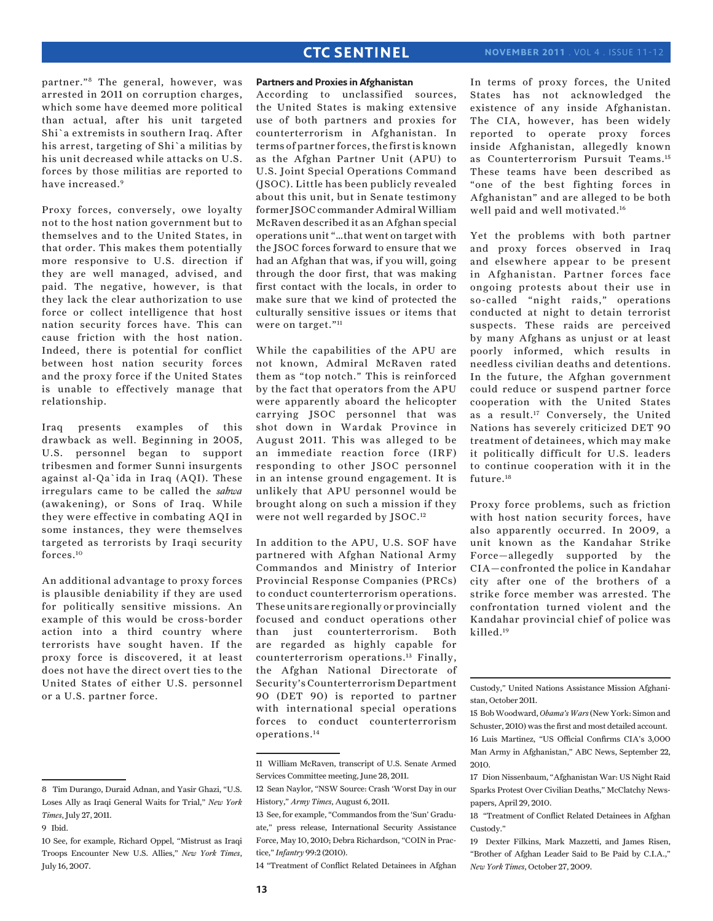partner."8 The general, however, was arrested in 2011 on corruption charges, which some have deemed more political than actual, after his unit targeted Shi`a extremists in southern Iraq. After his arrest, targeting of Shi`a militias by his unit decreased while attacks on U.S. forces by those militias are reported to have increased.9

Proxy forces, conversely, owe loyalty not to the host nation government but to themselves and to the United States, in that order. This makes them potentially more responsive to U.S. direction if they are well managed, advised, and paid. The negative, however, is that they lack the clear authorization to use force or collect intelligence that host nation security forces have. This can cause friction with the host nation. Indeed, there is potential for conflict between host nation security forces and the proxy force if the United States is unable to effectively manage that relationship.

Iraq presents examples of this drawback as well. Beginning in 2005, U.S. personnel began to support tribesmen and former Sunni insurgents against al-Qa`ida in Iraq (AQI). These irregulars came to be called the *sahwa* (awakening), or Sons of Iraq. While they were effective in combating AQI in some instances, they were themselves targeted as terrorists by Iraqi security forces.10

An additional advantage to proxy forces is plausible deniability if they are used for politically sensitive missions. An example of this would be cross-border action into a third country where terrorists have sought haven. If the proxy force is discovered, it at least does not have the direct overt ties to the United States of either U.S. personnel or a U.S. partner force.

## **Partners and Proxies in Afghanistan**

According to unclassified sources, the United States is making extensive use of both partners and proxies for counterterrorism in Afghanistan. In terms of partner forces, the first is known as the Afghan Partner Unit (APU) to U.S. Joint Special Operations Command (JSOC). Little has been publicly revealed about this unit, but in Senate testimony former JSOC commander Admiral William McRaven described it as an Afghan special operations unit "…that went on target with the JSOC forces forward to ensure that we had an Afghan that was, if you will, going through the door first, that was making first contact with the locals, in order to make sure that we kind of protected the culturally sensitive issues or items that were on target."<sup>11</sup>

While the capabilities of the APU are not known, Admiral McRaven rated them as "top notch." This is reinforced by the fact that operators from the APU were apparently aboard the helicopter carrying JSOC personnel that was shot down in Wardak Province in August 2011. This was alleged to be an immediate reaction force (IRF) responding to other JSOC personnel in an intense ground engagement. It is unlikely that APU personnel would be brought along on such a mission if they were not well regarded by JSOC.12

In addition to the APU, U.S. SOF have partnered with Afghan National Army Commandos and Ministry of Interior Provincial Response Companies (PRCs) to conduct counterterrorism operations. These units are regionally or provincially focused and conduct operations other than just counterterrorism. Both are regarded as highly capable for counterterrorism operations.13 Finally, the Afghan National Directorate of Security's Counterterrorism Department 90 (DET 90) is reported to partner with international special operations forces to conduct counterterrorism operations.14

14 "Treatment of Conflict Related Detainees in Afghan

In terms of proxy forces, the United States has not acknowledged the existence of any inside Afghanistan. The CIA, however, has been widely reported to operate proxy forces inside Afghanistan, allegedly known as Counterterrorism Pursuit Teams.15 These teams have been described as "one of the best fighting forces in Afghanistan" and are alleged to be both well paid and well motivated.16

Yet the problems with both partner and proxy forces observed in Iraq and elsewhere appear to be present in Afghanistan. Partner forces face ongoing protests about their use in so-called "night raids," operations conducted at night to detain terrorist suspects. These raids are perceived by many Afghans as unjust or at least poorly informed, which results in needless civilian deaths and detentions. In the future, the Afghan government could reduce or suspend partner force cooperation with the United States as a result.17 Conversely, the United Nations has severely criticized DET 90 treatment of detainees, which may make it politically difficult for U.S. leaders to continue cooperation with it in the future.<sup>18</sup>

Proxy force problems, such as friction with host nation security forces, have also apparently occurred. In 2009, a unit known as the Kandahar Strike Force—allegedly supported by the CIA—confronted the police in Kandahar city after one of the brothers of a strike force member was arrested. The confrontation turned violent and the Kandahar provincial chief of police was killed.19

<sup>8</sup> Tim Durango, Duraid Adnan, and Yasir Ghazi, "U.S. Loses Ally as Iraqi General Waits for Trial," *New York Times*, July 27, 2011.

<sup>9</sup> Ibid.

<sup>10</sup> See, for example, Richard Oppel, "Mistrust as Iraqi Troops Encounter New U.S. Allies," *New York Times*, July 16, 2007.

<sup>11</sup> William McRaven, transcript of U.S. Senate Armed Services Committee meeting, June 28, 2011.

<sup>12</sup> Sean Naylor, "NSW Source: Crash 'Worst Day in our History," *Army Times*, August 6, 2011.

<sup>13</sup> See, for example, "Commandos from the 'Sun' Graduate," press release, International Security Assistance Force, May 10, 2010; Debra Richardson, "COIN in Practice," *Infantry* 99:2 (2010).

Custody," United Nations Assistance Mission Afghanistan, October 2011.

<sup>15</sup> Bob Woodward, *Obama's Wars* (New York: Simon and Schuster, 2010) was the first and most detailed account. 16 Luis Martinez, "US Official Confirms CIA's 3,000 Man Army in Afghanistan," ABC News, September 22, 2010.

<sup>17</sup> Dion Nissenbaum, "Afghanistan War: US Night Raid Sparks Protest Over Civilian Deaths," McClatchy Newspapers, April 29, 2010.

<sup>18 &</sup>quot;Treatment of Conflict Related Detainees in Afghan Custody."

<sup>19</sup> Dexter Filkins, Mark Mazzetti, and James Risen, "Brother of Afghan Leader Said to Be Paid by C.I.A.," *New York Times*, October 27, 2009.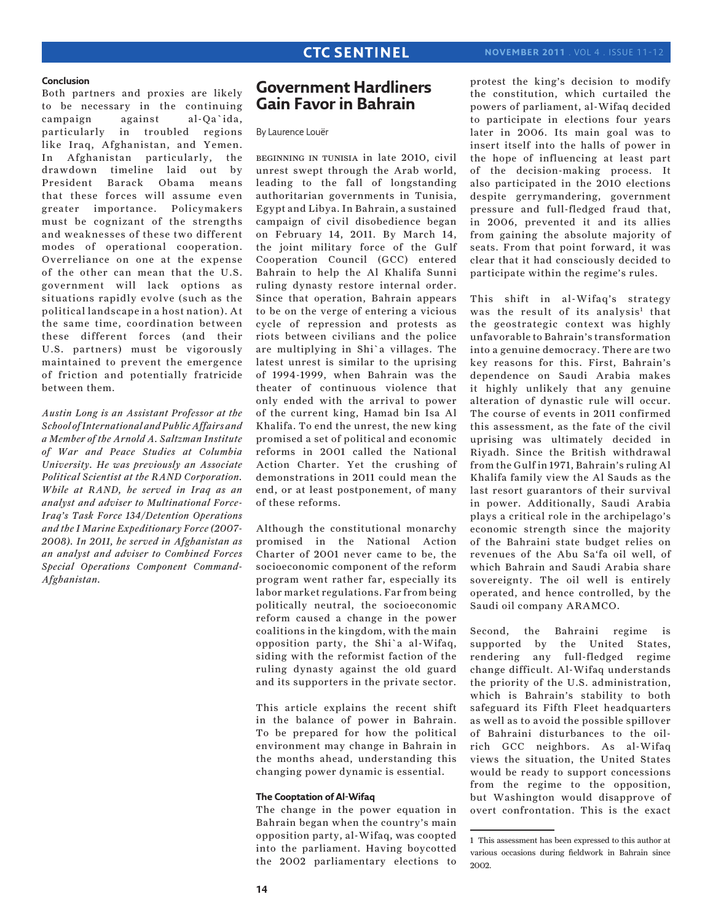#### **Conclusion**

Both partners and proxies are likely to be necessary in the continuing campaign against al-Qa`ida, particularly in troubled regions like Iraq, Afghanistan, and Yemen. In Afghanistan particularly, the drawdown timeline laid out by President Barack Obama means that these forces will assume even greater importance. Policymakers must be cognizant of the strengths and weaknesses of these two different modes of operational cooperation. Overreliance on one at the expense of the other can mean that the U.S. government will lack options as situations rapidly evolve (such as the political landscape in a host nation). At the same time, coordination between these different forces (and their U.S. partners) must be vigorously maintained to prevent the emergence of friction and potentially fratricide between them.

*Austin Long is an Assistant Professor at the School of International and Public Affairs and a Member of the Arnold A. Saltzman Institute of War and Peace Studies at Columbia University. He was previously an Associate Political Scientist at the RAND Corporation. While at RAND, he served in Iraq as an analyst and adviser to Multinational Force-Iraq's Task Force 134/Detention Operations and the I Marine Expeditionary Force (2007- 2008). In 2011, he served in Afghanistan as an analyst and adviser to Combined Forces Special Operations Component Command-Afghanistan.*

## **Government Hardliners Gain Favor in Bahrain**

By Laurence Louër

beginning in tunisia in late 2010, civil unrest swept through the Arab world, leading to the fall of longstanding authoritarian governments in Tunisia, Egypt and Libya. In Bahrain, a sustained campaign of civil disobedience began on February 14, 2011. By March 14, the joint military force of the Gulf Cooperation Council (GCC) entered Bahrain to help the Al Khalifa Sunni ruling dynasty restore internal order. Since that operation, Bahrain appears to be on the verge of entering a vicious cycle of repression and protests as riots between civilians and the police are multiplying in Shi`a villages. The latest unrest is similar to the uprising of 1994-1999, when Bahrain was the theater of continuous violence that only ended with the arrival to power of the current king, Hamad bin Isa Al Khalifa. To end the unrest, the new king promised a set of political and economic reforms in 2001 called the National Action Charter. Yet the crushing of demonstrations in 2011 could mean the end, or at least postponement, of many of these reforms.

Although the constitutional monarchy promised in the National Action Charter of 2001 never came to be, the socioeconomic component of the reform program went rather far, especially its labor market regulations. Far from being politically neutral, the socioeconomic reform caused a change in the power coalitions in the kingdom, with the main opposition party, the Shi`a al-Wifaq, siding with the reformist faction of the ruling dynasty against the old guard and its supporters in the private sector.

This article explains the recent shift in the balance of power in Bahrain. To be prepared for how the political environment may change in Bahrain in the months ahead, understanding this changing power dynamic is essential.

#### **The Cooptation of Al-Wifaq**

The change in the power equation in Bahrain began when the country's main opposition party, al-Wifaq, was coopted into the parliament. Having boycotted the 2002 parliamentary elections to protest the king's decision to modify the constitution, which curtailed the powers of parliament, al-Wifaq decided to participate in elections four years later in 2006. Its main goal was to insert itself into the halls of power in the hope of influencing at least part of the decision-making process. It also participated in the 2010 elections despite gerrymandering, government pressure and full-fledged fraud that, in 2006, prevented it and its allies from gaining the absolute majority of seats. From that point forward, it was clear that it had consciously decided to participate within the regime's rules.

This shift in al-Wifaq's strategy was the result of its analysis<sup>1</sup> that the geostrategic context was highly unfavorable to Bahrain's transformation into a genuine democracy. There are two key reasons for this. First, Bahrain's dependence on Saudi Arabia makes it highly unlikely that any genuine alteration of dynastic rule will occur. The course of events in 2011 confirmed this assessment, as the fate of the civil uprising was ultimately decided in Riyadh. Since the British withdrawal from the Gulf in 1971, Bahrain's ruling Al Khalifa family view the Al Sauds as the last resort guarantors of their survival in power. Additionally, Saudi Arabia plays a critical role in the archipelago's economic strength since the majority of the Bahraini state budget relies on revenues of the Abu Sa'fa oil well, of which Bahrain and Saudi Arabia share sovereignty. The oil well is entirely operated, and hence controlled, by the Saudi oil company ARAMCO.

Second, the Bahraini regime is supported by the United States, rendering any full-fledged regime change difficult. Al-Wifaq understands the priority of the U.S. administration, which is Bahrain's stability to both safeguard its Fifth Fleet headquarters as well as to avoid the possible spillover of Bahraini disturbances to the oilrich GCC neighbors. As al-Wifaq views the situation, the United States would be ready to support concessions from the regime to the opposition, but Washington would disapprove of overt confrontation. This is the exact

<sup>1</sup> This assessment has been expressed to this author at various occasions during fieldwork in Bahrain since 2002.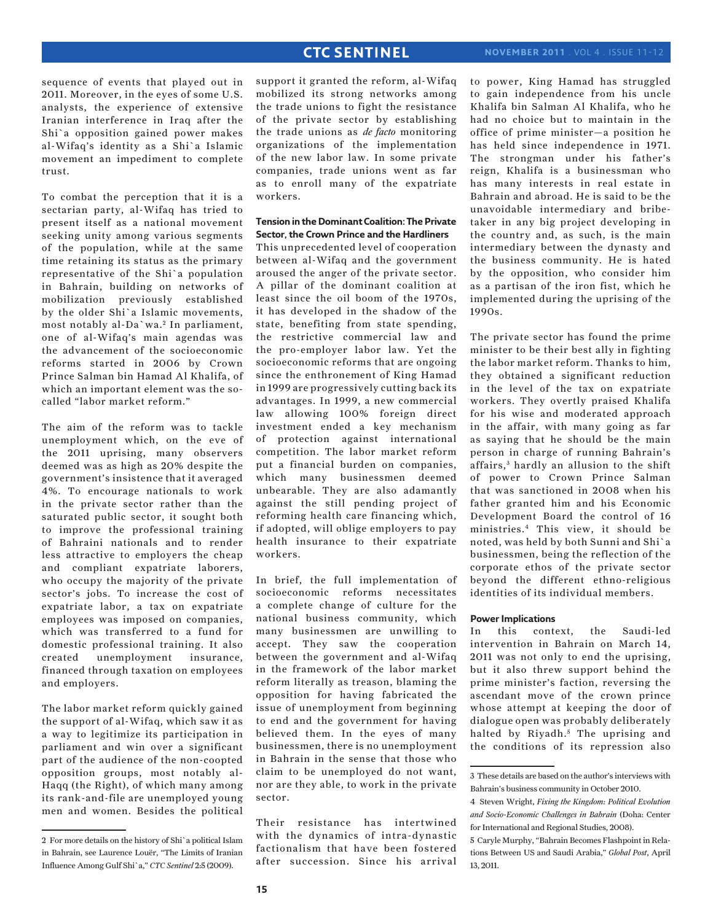sequence of events that played out in 2011. Moreover, in the eyes of some U.S. analysts, the experience of extensive Iranian interference in Iraq after the Shi`a opposition gained power makes al-Wifaq's identity as a Shi`a Islamic movement an impediment to complete trust.

To combat the perception that it is a sectarian party, al-Wifaq has tried to present itself as a national movement seeking unity among various segments of the population, while at the same time retaining its status as the primary representative of the Shi`a population in Bahrain, building on networks of mobilization previously established by the older Shi`a Islamic movements, most notably al-Da`wa.<sup>2</sup> In parliament, one of al-Wifaq's main agendas was the advancement of the socioeconomic reforms started in 2006 by Crown Prince Salman bin Hamad Al Khalifa, of which an important element was the socalled "labor market reform."

The aim of the reform was to tackle unemployment which, on the eve of the 2011 uprising, many observers deemed was as high as 20% despite the government's insistence that it averaged 4%. To encourage nationals to work in the private sector rather than the saturated public sector, it sought both to improve the professional training of Bahraini nationals and to render less attractive to employers the cheap and compliant expatriate laborers, who occupy the majority of the private sector's jobs. To increase the cost of expatriate labor, a tax on expatriate employees was imposed on companies, which was transferred to a fund for domestic professional training. It also created unemployment insurance, financed through taxation on employees and employers.

The labor market reform quickly gained the support of al-Wifaq, which saw it as a way to legitimize its participation in parliament and win over a significant part of the audience of the non-coopted opposition groups, most notably al-Haqq (the Right), of which many among its rank-and-file are unemployed young men and women. Besides the political support it granted the reform, al-Wifaq mobilized its strong networks among the trade unions to fight the resistance of the private sector by establishing the trade unions as *de facto* monitoring organizations of the implementation of the new labor law. In some private companies, trade unions went as far as to enroll many of the expatriate workers.

### **Tension in the Dominant Coalition: The Private Sector, the Crown Prince and the Hardliners**

This unprecedented level of cooperation between al-Wifaq and the government aroused the anger of the private sector. A pillar of the dominant coalition at least since the oil boom of the 1970s, it has developed in the shadow of the state, benefiting from state spending, the restrictive commercial law and the pro-employer labor law. Yet the socioeconomic reforms that are ongoing since the enthronement of King Hamad in 1999 are progressively cutting back its advantages. In 1999, a new commercial law allowing 100% foreign direct investment ended a key mechanism of protection against international competition. The labor market reform put a financial burden on companies, which many businessmen deemed unbearable. They are also adamantly against the still pending project of reforming health care financing which, if adopted, will oblige employers to pay health insurance to their expatriate workers.

In brief, the full implementation of socioeconomic reforms necessitates a complete change of culture for the national business community, which many businessmen are unwilling to accept. They saw the cooperation between the government and al-Wifaq in the framework of the labor market reform literally as treason, blaming the opposition for having fabricated the issue of unemployment from beginning to end and the government for having believed them. In the eyes of many businessmen, there is no unemployment in Bahrain in the sense that those who claim to be unemployed do not want, nor are they able, to work in the private sector.

Their resistance has intertwined with the dynamics of intra-dynastic factionalism that have been fostered after succession. Since his arrival to power, King Hamad has struggled to gain independence from his uncle Khalifa bin Salman Al Khalifa, who he had no choice but to maintain in the office of prime minister—a position he has held since independence in 1971. The strongman under his father's reign, Khalifa is a businessman who has many interests in real estate in Bahrain and abroad. He is said to be the unavoidable intermediary and bribetaker in any big project developing in the country and, as such, is the main intermediary between the dynasty and the business community. He is hated by the opposition, who consider him as a partisan of the iron fist, which he implemented during the uprising of the  $1990s$ 

The private sector has found the prime minister to be their best ally in fighting the labor market reform. Thanks to him, they obtained a significant reduction in the level of the tax on expatriate workers. They overtly praised Khalifa for his wise and moderated approach in the affair, with many going as far as saying that he should be the main person in charge of running Bahrain's affairs,<sup>3</sup> hardly an allusion to the shift of power to Crown Prince Salman that was sanctioned in 2008 when his father granted him and his Economic Development Board the control of 16 ministries.4 This view, it should be noted, was held by both Sunni and Shi`a businessmen, being the reflection of the corporate ethos of the private sector beyond the different ethno-religious identities of its individual members.

### **Power Implications**

In this context, the Saudi-led intervention in Bahrain on March 14, 2011 was not only to end the uprising, but it also threw support behind the prime minister's faction, reversing the ascendant move of the crown prince whose attempt at keeping the door of dialogue open was probably deliberately halted by Riyadh.<sup>5</sup> The uprising and the conditions of its repression also

<sup>2</sup> For more details on the history of Shi`a political Islam in Bahrain, see Laurence Louër, "The Limits of Iranian Influence Among Gulf Shi`a," *CTC Sentinel* 2:5 (2009).

<sup>3</sup> These details are based on the author's interviews with Bahrain's business community in October 2010.

<sup>4</sup> Steven Wright, *Fixing the Kingdom: Political Evolution and Socio-Economic Challenges in Bahrain* (Doha: Center for International and Regional Studies, 2008).

<sup>5</sup> Caryle Murphy, "Bahrain Becomes Flashpoint in Relations Between US and Saudi Arabia," *Global Post*, April 13, 2011.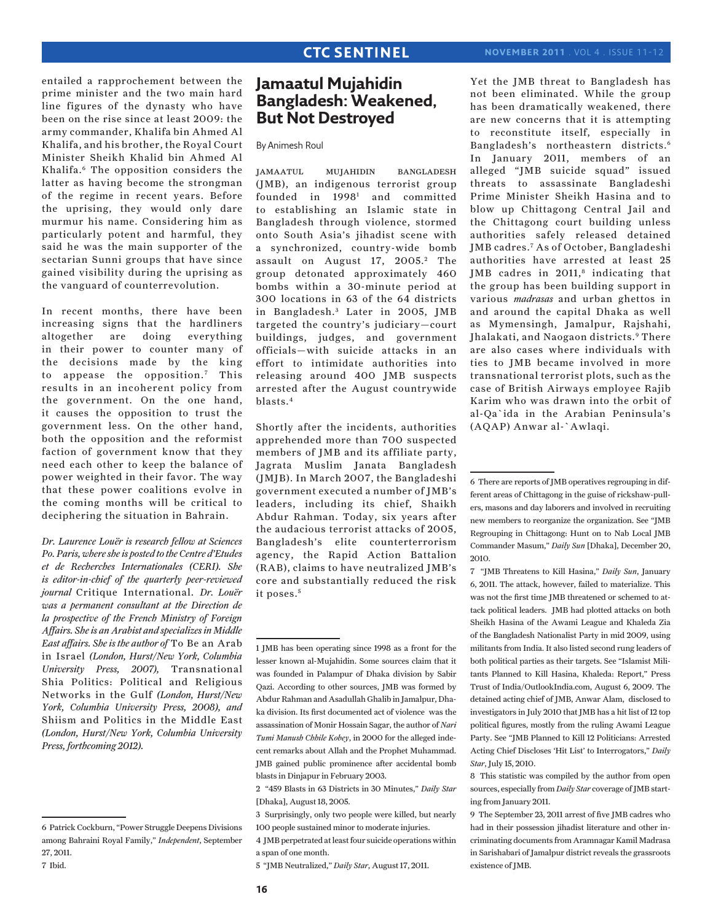entailed a rapprochement between the prime minister and the two main hard line figures of the dynasty who have been on the rise since at least 2009: the army commander, Khalifa bin Ahmed Al Khalifa, and his brother, the Royal Court Minister Sheikh Khalid bin Ahmed Al Khalifa.6 The opposition considers the latter as having become the strongman of the regime in recent years. Before the uprising, they would only dare murmur his name. Considering him as particularly potent and harmful, they said he was the main supporter of the sectarian Sunni groups that have since gained visibility during the uprising as the vanguard of counterrevolution.

In recent months, there have been increasing signs that the hardliners altogether are doing everything in their power to counter many of the decisions made by the king to appease the opposition.<sup>7</sup> This results in an incoherent policy from the government. On the one hand, it causes the opposition to trust the government less. On the other hand, both the opposition and the reformist faction of government know that they need each other to keep the balance of power weighted in their favor. The way that these power coalitions evolve in the coming months will be critical to deciphering the situation in Bahrain.

*Dr. Laurence Louër is research fellow at Sciences Po. Paris, where she is posted to the Centre d'Etudes et de Recherches Internationales (CERI). She is editor-in-chief of the quarterly peer-reviewed journal* Critique International. *Dr. Louër was a permanent consultant at the Direction de la prospective of the French Ministry of Foreign Affairs. She is an Arabist and specializes in Middle East affairs. She is the author of* To Be an Arab in Israel *(London, Hurst/New York, Columbia University Press, 2007),* Transnational Shia Politics: Political and Religious Networks in the Gulf *(London, Hurst/New York, Columbia University Press, 2008), and* Shiism and Politics in the Middle East *(London, Hurst/New York, Columbia University Press, forthcoming 2012).*

## **Jamaatul Mujahidin Bangladesh: Weakened, But Not Destroyed**

By Animesh Roul

jamaatul mujahidin bangladesh (JMB), an indigenous terrorist group founded in 1998<sup>1</sup> and committed to establishing an Islamic state in Bangladesh through violence, stormed onto South Asia's jihadist scene with a synchronized, country-wide bomb assault on August 17, 2005.<sup>2</sup> The group detonated approximately 460 bombs within a 30-minute period at 300 locations in 63 of the 64 districts in Bangladesh.<sup>3</sup> Later in 2005, JMB targeted the country's judiciary—court buildings, judges, and government officials—with suicide attacks in an effort to intimidate authorities into releasing around 400 JMB suspects arrested after the August countrywide blasts.4

Shortly after the incidents, authorities apprehended more than 700 suspected members of JMB and its affiliate party, Jagrata Muslim Janata Bangladesh (JMJB). In March 2007, the Bangladeshi government executed a number of JMB's leaders, including its chief, Shaikh Abdur Rahman. Today, six years after the audacious terrorist attacks of 2005, Bangladesh's elite counterterrorism agency, the Rapid Action Battalion (RAB), claims to have neutralized JMB's core and substantially reduced the risk it poses.<sup>5</sup>

Yet the JMB threat to Bangladesh has not been eliminated. While the group has been dramatically weakened, there are new concerns that it is attempting to reconstitute itself, especially in Bangladesh's northeastern districts.6 In January 2011, members of an alleged "JMB suicide squad" issued threats to assassinate Bangladeshi Prime Minister Sheikh Hasina and to blow up Chittagong Central Jail and the Chittagong court building unless authorities safely released detained JMB cadres.7 As of October, Bangladeshi authorities have arrested at least 25 JMB cadres in  $2011$ ,<sup>8</sup> indicating that the group has been building support in various *madrasas* and urban ghettos in and around the capital Dhaka as well as Mymensingh, Jamalpur, Rajshahi, Jhalakati, and Naogaon districts.<sup>9</sup> There are also cases where individuals with ties to JMB became involved in more transnational terrorist plots, such as the case of British Airways employee Rajib Karim who was drawn into the orbit of al-Qa`ida in the Arabian Peninsula's (AQAP) Anwar al-`Awlaqi.

8 This statistic was compiled by the author from open sources, especially from *Daily Star* coverage of JMB starting from January 2011.

<sup>6</sup> Patrick Cockburn, "Power Struggle Deepens Divisions among Bahraini Royal Family," *Independent*, September 27, 2011.

<sup>7</sup> Ibid.

<sup>1</sup> JMB has been operating since 1998 as a front for the lesser known al-Mujahidin. Some sources claim that it was founded in Palampur of Dhaka division by Sabir Qazi. According to other sources, JMB was formed by Abdur Rahman and Asadullah Ghalib in Jamalpur, Dhaka division. Its first documented act of violence was the assassination of Monir Hossain Sagar, the author of *Nari Tumi Manush Chhile Kobey*, in 2000 for the alleged indecent remarks about Allah and the Prophet Muhammad. JMB gained public prominence after accidental bomb blasts in Dinjapur in February 2003.

<sup>2 &</sup>quot;459 Blasts in 63 Districts in 30 Minutes," *Daily Star* [Dhaka], August 18, 2005.

<sup>3</sup> Surprisingly, only two people were killed, but nearly 100 people sustained minor to moderate injuries.

<sup>4</sup> JMB perpetrated at least four suicide operations within a span of one month.

<sup>5 &</sup>quot;JMB Neutralized," *Daily Star*, August 17, 2011.

<sup>6</sup> There are reports of JMB operatives regrouping in different areas of Chittagong in the guise of rickshaw-pullers, masons and day laborers and involved in recruiting new members to reorganize the organization. See "JMB Regrouping in Chittagong: Hunt on to Nab Local JMB Commander Masum," *Daily Sun* [Dhaka], December 20, 2010.

<sup>7 &</sup>quot;JMB Threatens to Kill Hasina," *Daily Sun*, January 6, 2011. The attack, however, failed to materialize. This was not the first time JMB threatened or schemed to attack political leaders. JMB had plotted attacks on both Sheikh Hasina of the Awami League and Khaleda Zia of the Bangladesh Nationalist Party in mid 2009, using militants from India. It also listed second rung leaders of both political parties as their targets. See "Islamist Militants Planned to Kill Hasina, Khaleda: Report," Press Trust of India/OutlookIndia.com, August 6, 2009. The detained acting chief of JMB, Anwar Alam, disclosed to investigators in July 2010 that JMB has a hit list of 12 top political figures, mostly from the ruling Awami League Party. See "JMB Planned to Kill 12 Politicians: Arrested Acting Chief Discloses 'Hit List' to Interrogators," *Daily Star*, July 15, 2010.

<sup>9</sup> The September 23, 2011 arrest of five JMB cadres who had in their possession jihadist literature and other incriminating documents from Aramnagar Kamil Madrasa in Sarishabari of Jamalpur district reveals the grassroots existence of JMB.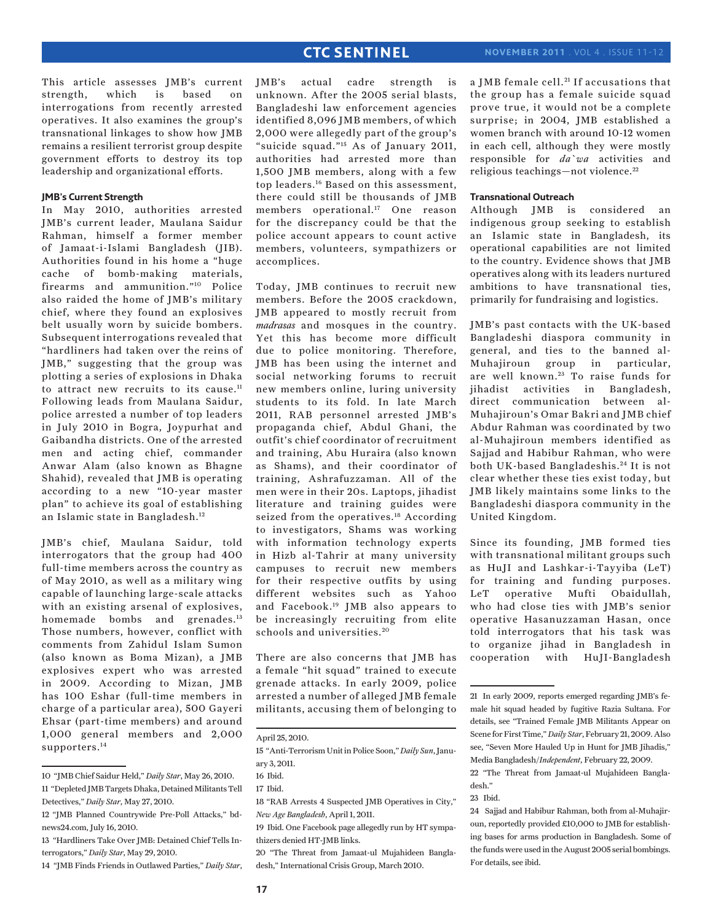This article assesses JMB's current strength, which is based on interrogations from recently arrested operatives. It also examines the group's transnational linkages to show how JMB remains a resilient terrorist group despite government efforts to destroy its top leadership and organizational efforts.

## **JMB's Current Strength**

In May 2010, authorities arrested JMB's current leader, Maulana Saidur Rahman, himself a former member of Jamaat-i-Islami Bangladesh (JIB). Authorities found in his home a "huge cache of bomb-making materials, firearms and ammunition."10 Police also raided the home of JMB's military chief, where they found an explosives belt usually worn by suicide bombers. Subsequent interrogations revealed that "hardliners had taken over the reins of JMB," suggesting that the group was plotting a series of explosions in Dhaka to attract new recruits to its cause.<sup>11</sup> Following leads from Maulana Saidur, police arrested a number of top leaders in July 2010 in Bogra, Joypurhat and Gaibandha districts. One of the arrested men and acting chief, commander Anwar Alam (also known as Bhagne Shahid), revealed that JMB is operating according to a new "10-year master plan" to achieve its goal of establishing an Islamic state in Bangladesh.12

JMB's chief, Maulana Saidur, told interrogators that the group had 400 full-time members across the country as of May 2010, as well as a military wing capable of launching large-scale attacks with an existing arsenal of explosives, homemade bombs and grenades.<sup>13</sup> Those numbers, however, conflict with comments from Zahidul Islam Sumon (also known as Boma Mizan), a JMB explosives expert who was arrested in 2009. According to Mizan, JMB has 100 Eshar (full-time members in charge of a particular area), 500 Gayeri Ehsar (part-time members) and around 1,000 general members and 2,000 supporters.<sup>14</sup>

14 "JMB Finds Friends in Outlawed Parties," *Daily Star*,

JMB's actual cadre strength is unknown. After the 2005 serial blasts, Bangladeshi law enforcement agencies identified 8,096 JMB members, of which 2,000 were allegedly part of the group's "suicide squad."15 As of January 2011, authorities had arrested more than 1,500 JMB members, along with a few top leaders.16 Based on this assessment, there could still be thousands of JMB members operational.<sup>17</sup> One reason for the discrepancy could be that the police account appears to count active members, volunteers, sympathizers or accomplices.

Today, JMB continues to recruit new members. Before the 2005 crackdown, JMB appeared to mostly recruit from *madrasas* and mosques in the country. Yet this has become more difficult due to police monitoring. Therefore, JMB has been using the internet and social networking forums to recruit new members online, luring university students to its fold. In late March 2011, RAB personnel arrested JMB's propaganda chief, Abdul Ghani, the outfit's chief coordinator of recruitment and training, Abu Huraira (also known as Shams), and their coordinator of training, Ashrafuzzaman. All of the men were in their 20s. Laptops, jihadist literature and training guides were seized from the operatives.<sup>18</sup> According to investigators, Shams was working with information technology experts in Hizb al-Tahrir at many university campuses to recruit new members for their respective outfits by using different websites such as Yahoo and Facebook.19 JMB also appears to be increasingly recruiting from elite schools and universities.<sup>20</sup>

There are also concerns that JMB has a female "hit squad" trained to execute grenade attacks. In early 2009, police arrested a number of alleged JMB female militants, accusing them of belonging to

20 "The Threat from Jamaat-ul Mujahideen Bangladesh," International Crisis Group, March 2010.

a JMB female cell.<sup>21</sup> If accusations that the group has a female suicide squad prove true, it would not be a complete surprise; in 2004, JMB established a women branch with around 10-12 women in each cell, although they were mostly responsible for *da`wa* activities and religious teachings—not violence. 22

#### **Transnational Outreach**

Although JMB is considered an indigenous group seeking to establish an Islamic state in Bangladesh, its operational capabilities are not limited to the country. Evidence shows that JMB operatives along with its leaders nurtured ambitions to have transnational ties, primarily for fundraising and logistics.

JMB's past contacts with the UK-based Bangladeshi diaspora community in general, and ties to the banned al-<br>Muhajiroun group in particular, Muhajiroun group in are well known.<sup>23</sup> To raise funds for jihadist activities in Bangladesh, direct communication between al-Muhajiroun's Omar Bakri and JMB chief Abdur Rahman was coordinated by two al-Muhajiroun members identified as Sajjad and Habibur Rahman, who were both UK-based Bangladeshis. 24 It is not clear whether these ties exist today, but JMB likely maintains some links to the Bangladeshi diaspora community in the United Kingdom.

Since its founding, JMB formed ties with transnational militant groups such as HuJI and Lashkar-i-Tayyiba (LeT) for training and funding purposes. LeT operative Mufti Obaidullah, who had close ties with JMB's senior operative Hasanuzzaman Hasan, once told interrogators that his task was to organize jihad in Bangladesh in cooperation with HuJI-Bangladesh

<sup>10 &</sup>quot;JMB Chief Saidur Held," *Daily Star*, May 26, 2010. 11 "Depleted JMB Targets Dhaka, Detained Militants Tell Detectives," *Daily Star*, May 27, 2010.

<sup>12 &</sup>quot;JMB Planned Countrywide Pre-Poll Attacks," bdnews24.com, July 16, 2010.

<sup>13 &</sup>quot;Hardliners Take Over JMB: Detained Chief Tells Interrogators," *Daily Star*, May 29, 2010.

April 25, 2010.

<sup>15 &</sup>quot;Anti-Terrorism Unit in Police Soon," *Daily Sun*, January 3, 2011.

<sup>16</sup> Ibid.

<sup>17</sup> Ibid.

<sup>18 &</sup>quot;RAB Arrests 4 Suspected JMB Operatives in City," *New Age Bangladesh*, April 1, 2011.

<sup>19</sup> Ibid. One Facebook page allegedly run by HT sympathizers denied HT-JMB links.

<sup>21</sup> In early 2009, reports emerged regarding JMB's female hit squad headed by fugitive Razia Sultana. For details, see "Trained Female JMB Militants Appear on Scene for First Time," *Daily Star*, February 21, 2009. Also see, "Seven More Hauled Up in Hunt for JMB Jihadis," Media Bangladesh/*Independent*, February 22, 2009.

<sup>22 &</sup>quot;The Threat from Jamaat-ul Mujahideen Bangladesh."

<sup>23</sup> Ibid.

<sup>24</sup> Sajjad and Habibur Rahman, both from al-Muhajiroun, reportedly provided £10,000 to JMB for establishing bases for arms production in Bangladesh. Some of the funds were used in the August 2005 serial bombings. For details, see ibid.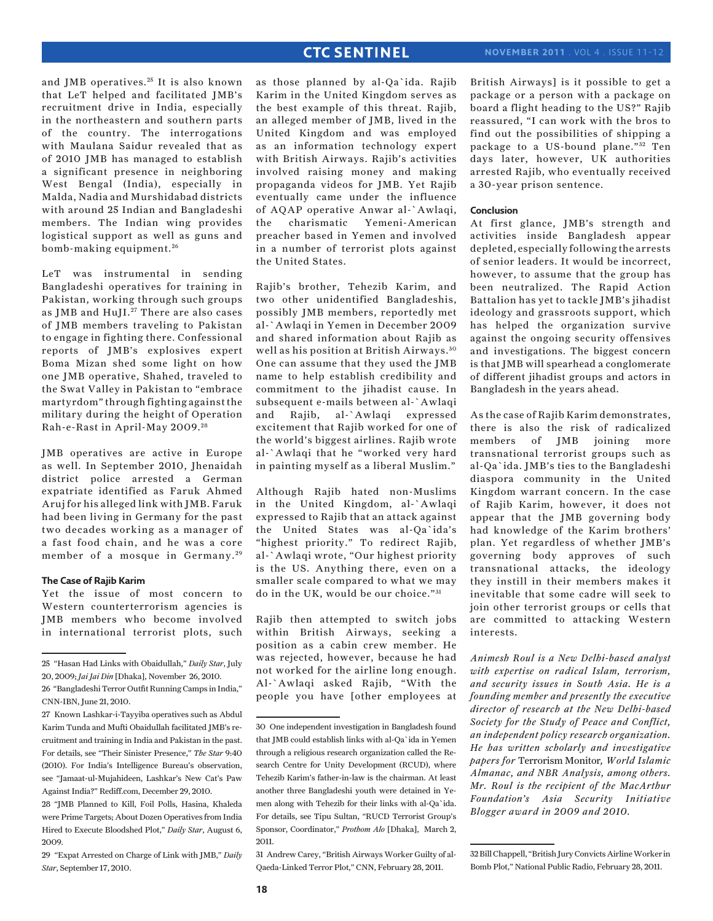and JMB operatives.<sup>25</sup> It is also known that LeT helped and facilitated JMB's recruitment drive in India, especially in the northeastern and southern parts of the country. The interrogations with Maulana Saidur revealed that as of 2010 JMB has managed to establish a significant presence in neighboring West Bengal (India), especially in Malda, Nadia and Murshidabad districts with around 25 Indian and Bangladeshi members. The Indian wing provides logistical support as well as guns and bomb-making equipment. <sup>26</sup>

LeT was instrumental in sending Bangladeshi operatives for training in Pakistan, working through such groups as JMB and HuJI.<sup>27</sup> There are also cases of JMB members traveling to Pakistan to engage in fighting there. Confessional reports of JMB's explosives expert Boma Mizan shed some light on how one JMB operative, Shahed, traveled to the Swat Valley in Pakistan to "embrace martyrdom" through fighting against the military during the height of Operation Rah-e-Rast in April-May 2009. <sup>28</sup>

JMB operatives are active in Europe as well. In September 2010, Jhenaidah district police arrested a German expatriate identified as Faruk Ahmed Aruj for his alleged link with JMB. Faruk had been living in Germany for the past two decades working as a manager of a fast food chain, and he was a core member of a mosque in Germany.<sup>29</sup>

#### **The Case of Rajib Karim**

Yet the issue of most concern to Western counterterrorism agencies is JMB members who become involved in international terrorist plots, such

28 "JMB Planned to Kill, Foil Polls, Hasina, Khaleda were Prime Targets; About Dozen Operatives from India Hired to Execute Bloodshed Plot," *Daily Star*, August 6, 2009.

29 "Expat Arrested on Charge of Link with JMB," *Daily Star*, September 17, 2010.

as those planned by al-Qa`ida. Rajib Karim in the United Kingdom serves as the best example of this threat. Rajib, an alleged member of JMB, lived in the United Kingdom and was employed as an information technology expert with British Airways. Rajib's activities involved raising money and making propaganda videos for JMB. Yet Rajib eventually came under the influence of AQAP operative Anwar al-`Awlaqi, the charismatic Yemeni-American preacher based in Yemen and involved in a number of terrorist plots against the United States.

Rajib's brother, Tehezib Karim, and two other unidentified Bangladeshis, possibly JMB members, reportedly met al-`Awlaqi in Yemen in December 2009 and shared information about Rajib as well as his position at British Airways. <sup>30</sup> One can assume that they used the JMB name to help establish credibility and commitment to the jihadist cause. In subsequent e-mails between al-`Awlaqi and Rajib, al-`Awlaqi expressed excitement that Rajib worked for one of the world's biggest airlines. Rajib wrote al-`Awlaqi that he "worked very hard in painting myself as a liberal Muslim."

Although Rajib hated non-Muslims in the United Kingdom, al-`Awlaqi expressed to Rajib that an attack against the United States was al-Qa`ida's "highest priority." To redirect Rajib, al-`Awlaqi wrote, "Our highest priority is the US. Anything there, even on a smaller scale compared to what we may do in the UK, would be our choice."<sup>31</sup>

Rajib then attempted to switch jobs within British Airways, seeking a position as a cabin crew member. He was rejected, however, because he had not worked for the airline long enough. Al-`Awlaqi asked Rajib, "With the people you have [other employees at

31 Andrew Carey, "British Airways Worker Guilty of al-Qaeda-Linked Terror Plot," CNN, February 28, 2011.

British Airways] is it possible to get a package or a person with a package on board a flight heading to the US?" Rajib reassured, "I can work with the bros to find out the possibilities of shipping a package to a US-bound plane."<sup>32</sup> Ten days later, however, UK authorities arrested Rajib, who eventually received a 30-year prison sentence.

#### **Conclusion**

At first glance, JMB's strength and activities inside Bangladesh appear depleted, especially following the arrests of senior leaders. It would be incorrect, however, to assume that the group has been neutralized. The Rapid Action Battalion has yet to tackle JMB's jihadist ideology and grassroots support, which has helped the organization survive against the ongoing security offensives and investigations. The biggest concern is that JMB will spearhead a conglomerate of different jihadist groups and actors in Bangladesh in the years ahead.

As the case of Rajib Karim demonstrates, there is also the risk of radicalized members of JMB joining more transnational terrorist groups such as al-Qa`ida. JMB's ties to the Bangladeshi diaspora community in the United Kingdom warrant concern. In the case of Rajib Karim, however, it does not appear that the JMB governing body had knowledge of the Karim brothers' plan. Yet regardless of whether JMB's governing body approves of such transnational attacks, the ideology they instill in their members makes it inevitable that some cadre will seek to join other terrorist groups or cells that are committed to attacking Western interests.

*Animesh Roul is a New Delhi-based analyst with expertise on radical Islam, terrorism, and security issues in South Asia. He is a founding member and presently the executive director of research at the New Delhi-based Society for the Study of Peace and Conflict, an independent policy research organization. He has written scholarly and investigative papers for* Terrorism Monitor*, World Islamic Almanac, and NBR Analysis, among others. Mr. Roul is the recipient of the MacArthur Foundation's Asia Security Initiative Blogger award in 2009 and 2010.*

<sup>25 &</sup>quot;Hasan Had Links with Obaidullah," *Daily Star*, July 20, 2009; *Jai Jai Din* [Dhaka], November 26, 2010.

<sup>26 &</sup>quot;Bangladeshi Terror Outfit Running Camps in India," CNN-IBN, June 21, 2010.

<sup>27</sup> Known Lashkar-i-Tayyiba operatives such as Abdul Karim Tunda and Mufti Obaidullah facilitated JMB's recruitment and training in India and Pakistan in the past. For details, see "Their Sinister Presence," *The Star* 9:40 (2010). For India's Intelligence Bureau's observation, see "Jamaat-ul-Mujahideen, Lashkar's New Cat's Paw Against India?" Rediff.com, December 29, 2010.

<sup>30</sup> One independent investigation in Bangladesh found that JMB could establish links with al-Qa`ida in Yemen through a religious research organization called the Research Centre for Unity Development (RCUD), where Tehezib Karim's father-in-law is the chairman. At least another three Bangladeshi youth were detained in Yemen along with Tehezib for their links with al-Qa`ida. For details, see Tipu Sultan, "RUCD Terrorist Group's Sponsor, Coordinator," *Prothom Alo* [Dhaka], March 2, 2011.

<sup>32</sup> Bill Chappell, "British Jury Convicts Airline Worker in Bomb Plot," National Public Radio, February 28, 2011.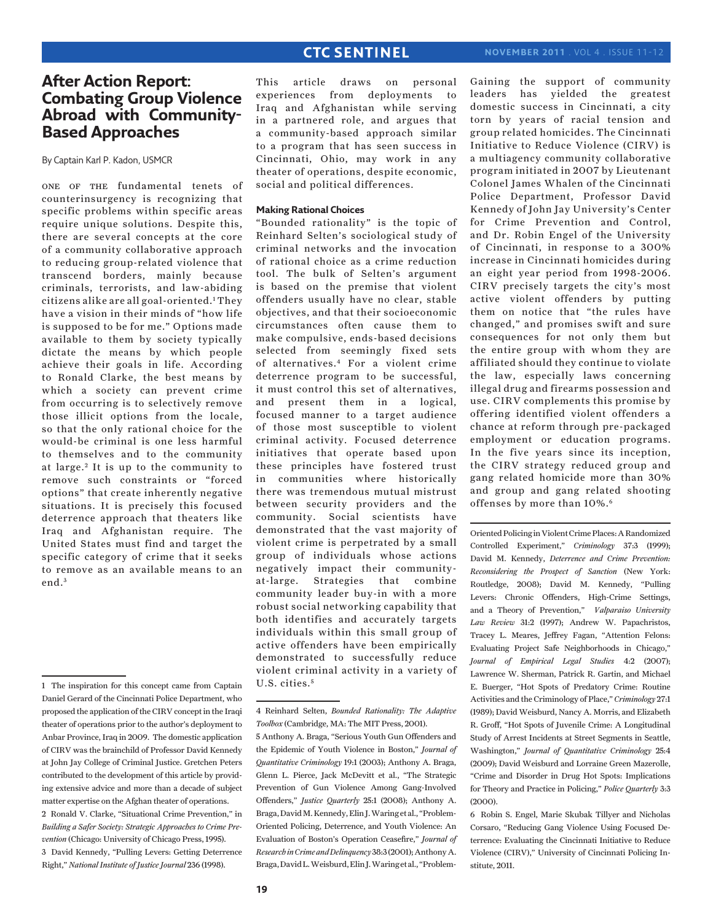## **After Action Report: Combating Group Violence Abroad with Community-Based Approaches**

By Captain Karl P. Kadon, USMCR

one of the fundamental tenets of counterinsurgency is recognizing that specific problems within specific areas require unique solutions. Despite this, there are several concepts at the core of a community collaborative approach to reducing group-related violence that transcend borders, mainly because criminals, terrorists, and law-abiding citizens alike are all goal-oriented.1 They have a vision in their minds of "how life is supposed to be for me." Options made available to them by society typically dictate the means by which people achieve their goals in life. According to Ronald Clarke, the best means by which a society can prevent crime from occurring is to selectively remove those illicit options from the locale, so that the only rational choice for the would-be criminal is one less harmful to themselves and to the community at large.<sup>2</sup> It is up to the community to remove such constraints or "forced options" that create inherently negative situations. It is precisely this focused deterrence approach that theaters like Iraq and Afghanistan require. The United States must find and target the specific category of crime that it seeks to remove as an available means to an end.<sup>3</sup>

This article draws on personal experiences from deployments to Iraq and Afghanistan while serving in a partnered role, and argues that a community-based approach similar to a program that has seen success in Cincinnati, Ohio, may work in any theater of operations, despite economic, social and political differences.

#### **Making Rational Choices**

"Bounded rationality" is the topic of Reinhard Selten's sociological study of criminal networks and the invocation of rational choice as a crime reduction tool. The bulk of Selten's argument is based on the premise that violent offenders usually have no clear, stable objectives, and that their socioeconomic circumstances often cause them to make compulsive, ends-based decisions selected from seemingly fixed sets of alternatives.4 For a violent crime deterrence program to be successful, it must control this set of alternatives, and present them in a logical, focused manner to a target audience of those most susceptible to violent criminal activity. Focused deterrence initiatives that operate based upon these principles have fostered trust in communities where historically there was tremendous mutual mistrust between security providers and the community. Social scientists have demonstrated that the vast majority of violent crime is perpetrated by a small group of individuals whose actions negatively impact their communityat-large. Strategies that combine community leader buy-in with a more robust social networking capability that both identifies and accurately targets individuals within this small group of active offenders have been empirically demonstrated to successfully reduce violent criminal activity in a variety of U.S. cities.<sup>5</sup>

Gaining the support of community leaders has yielded the greatest domestic success in Cincinnati, a city torn by years of racial tension and group related homicides. The Cincinnati Initiative to Reduce Violence (CIRV) is a multiagency community collaborative program initiated in 2007 by Lieutenant Colonel James Whalen of the Cincinnati Police Department, Professor David Kennedy of John Jay University's Center for Crime Prevention and Control, and Dr. Robin Engel of the University of Cincinnati, in response to a 300% increase in Cincinnati homicides during an eight year period from 1998-2006. CIRV precisely targets the city's most active violent offenders by putting them on notice that "the rules have changed," and promises swift and sure consequences for not only them but the entire group with whom they are affiliated should they continue to violate the law, especially laws concerning illegal drug and firearms possession and use. CIRV complements this promise by offering identified violent offenders a chance at reform through pre-packaged employment or education programs. In the five years since its inception, the CIRV strategy reduced group and gang related homicide more than 30% and group and gang related shooting offenses by more than 10%.6

Oriented Policing in Violent Crime Places: A Randomized Controlled Experiment," *Criminology* 37:3 (1999); David M. Kennedy, *Deterrence and Crime Prevention: Reconsidering the Prospect of Sanction* (New York: Routledge, 2008); David M. Kennedy, "Pulling Levers: Chronic Offenders, High-Crime Settings, and a Theory of Prevention," *Valparaiso University Law Review* 31:2 (1997); Andrew W. Papachristos, Tracey L. Meares, Jeffrey Fagan, "Attention Felons: Evaluating Project Safe Neighborhoods in Chicago," *Journal of Empirical Legal Studies* 4:2 (2007); Lawrence W. Sherman, Patrick R. Gartin, and Michael E. Buerger, "Hot Spots of Predatory Crime: Routine Activities and the Criminology of Place," *Criminology* 27:1 (1989); David Weisburd, Nancy A. Morris, and Elizabeth R. Groff, "Hot Spots of Juvenile Crime: A Longitudinal Study of Arrest Incidents at Street Segments in Seattle, Washington," *Journal of Quantitative Criminology* 25:4 (2009); David Weisburd and Lorraine Green Mazerolle, "Crime and Disorder in Drug Hot Spots: Implications for Theory and Practice in Policing," *Police Quarterly* 3:3 (2000).

6 Robin S. Engel, Marie Skubak Tillyer and Nicholas Corsaro, "Reducing Gang Violence Using Focused Deterrence: Evaluating the Cincinnati Initiative to Reduce Violence (CIRV)," University of Cincinnati Policing Institute, 2011.

<sup>1</sup> The inspiration for this concept came from Captain Daniel Gerard of the Cincinnati Police Department, who proposed the application of the CIRV concept in the Iraqi theater of operations prior to the author's deployment to Anbar Province, Iraq in 2009. The domestic application of CIRV was the brainchild of Professor David Kennedy at John Jay College of Criminal Justice. Gretchen Peters contributed to the development of this article by providing extensive advice and more than a decade of subject matter expertise on the Afghan theater of operations. 2 Ronald V. Clarke, "Situational Crime Prevention," in *Building a Safer Society: Strategic Approaches to Crime Prevention* (Chicago: University of Chicago Press, 1995). 3 David Kennedy, "Pulling Levers: Getting Deterrence Right," *National Institute of Justice Journal* 236 (1998).

<sup>4</sup> Reinhard Selten, *Bounded Rationality: The Adaptive Toolbox* (Cambridge, MA: The MIT Press, 2001).

<sup>5</sup> Anthony A. Braga, "Serious Youth Gun Offenders and the Epidemic of Youth Violence in Boston," *Journal of Quantitative Criminology* 19:1 (2003); Anthony A. Braga, Glenn L. Pierce, Jack McDevitt et al., "The Strategic Prevention of Gun Violence Among Gang-Involved Offenders," *Justice Quarterly* 25:1 (2008); Anthony A. Braga, David M. Kennedy, Elin J. Waring et al., "Problem-Oriented Policing, Deterrence, and Youth Violence: An Evaluation of Boston's Operation Ceasefire," *Journal of Research in Crime and Delinquency* 38:3 (2001); Anthony A. Braga, David L. Weisburd, Elin J. Waring et al., "Problem-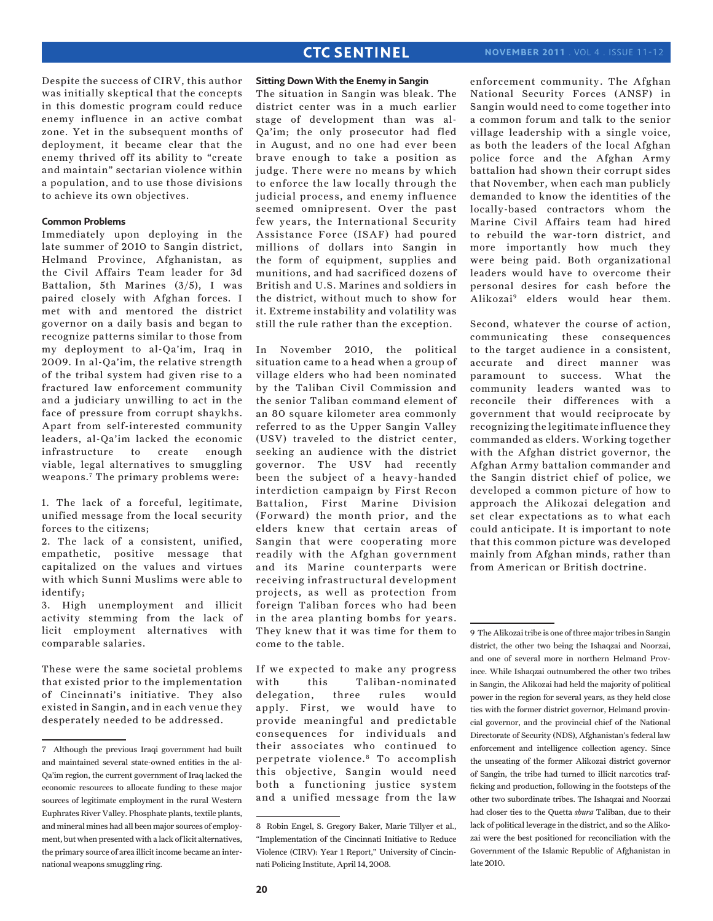Despite the success of CIRV, this author was initially skeptical that the concepts in this domestic program could reduce enemy influence in an active combat zone. Yet in the subsequent months of deployment, it became clear that the enemy thrived off its ability to "create and maintain" sectarian violence within a population, and to use those divisions to achieve its own objectives.

#### **Common Problems**

Immediately upon deploying in the late summer of 2010 to Sangin district, Helmand Province, Afghanistan, as the Civil Affairs Team leader for 3d Battalion, 5th Marines (3/5), I was paired closely with Afghan forces. I met with and mentored the district governor on a daily basis and began to recognize patterns similar to those from my deployment to al-Qa'im, Iraq in 2009. In al-Qa'im, the relative strength of the tribal system had given rise to a fractured law enforcement community and a judiciary unwilling to act in the face of pressure from corrupt shaykhs. Apart from self-interested community leaders, al-Qa'im lacked the economic infrastructure to create enough viable, legal alternatives to smuggling weapons.7 The primary problems were:

1. The lack of a forceful, legitimate, unified message from the local security forces to the citizens;

2. The lack of a consistent, unified, empathetic, positive message that capitalized on the values and virtues with which Sunni Muslims were able to identify;

3. High unemployment and illicit activity stemming from the lack of licit employment alternatives with comparable salaries.

These were the same societal problems that existed prior to the implementation of Cincinnati's initiative. They also existed in Sangin, and in each venue they desperately needed to be addressed.

## **Sitting Down With the Enemy in Sangin**

The situation in Sangin was bleak. The district center was in a much earlier stage of development than was al-Qa'im; the only prosecutor had fled in August, and no one had ever been brave enough to take a position as judge. There were no means by which to enforce the law locally through the judicial process, and enemy influence seemed omnipresent. Over the past few years, the International Security Assistance Force (ISAF) had poured millions of dollars into Sangin in the form of equipment, supplies and munitions, and had sacrificed dozens of British and U.S. Marines and soldiers in the district, without much to show for it. Extreme instability and volatility was still the rule rather than the exception.

In November 2010, the political situation came to a head when a group of village elders who had been nominated by the Taliban Civil Commission and the senior Taliban command element of an 80 square kilometer area commonly referred to as the Upper Sangin Valley (USV) traveled to the district center, seeking an audience with the district governor. The USV had recently been the subject of a heavy-handed interdiction campaign by First Recon Battalion, First Marine Division (Forward) the month prior, and the elders knew that certain areas of Sangin that were cooperating more readily with the Afghan government and its Marine counterparts were receiving infrastructural development projects, as well as protection from foreign Taliban forces who had been in the area planting bombs for years. They knew that it was time for them to come to the table.

If we expected to make any progress with this Taliban-nominated delegation, three rules would apply. First, we would have to provide meaningful and predictable consequences for individuals and their associates who continued to perpetrate violence.<sup>8</sup> To accomplish this objective, Sangin would need both a functioning justice system and a unified message from the law

enforcement community. The Afghan National Security Forces (ANSF) in Sangin would need to come together into a common forum and talk to the senior village leadership with a single voice, as both the leaders of the local Afghan police force and the Afghan Army battalion had shown their corrupt sides that November, when each man publicly demanded to know the identities of the locally-based contractors whom the Marine Civil Affairs team had hired to rebuild the war-torn district, and more importantly how much they were being paid. Both organizational leaders would have to overcome their personal desires for cash before the Alikozai9 elders would hear them.

Second, whatever the course of action, communicating these consequences to the target audience in a consistent, accurate and direct manner was paramount to success. What the community leaders wanted was to reconcile their differences with a government that would reciprocate by recognizing the legitimate influence they commanded as elders. Working together with the Afghan district governor, the Afghan Army battalion commander and the Sangin district chief of police, we developed a common picture of how to approach the Alikozai delegation and set clear expectations as to what each could anticipate. It is important to note that this common picture was developed mainly from Afghan minds, rather than from American or British doctrine.

<sup>7</sup> Although the previous Iraqi government had built and maintained several state-owned entities in the al-Qa'im region, the current government of Iraq lacked the economic resources to allocate funding to these major sources of legitimate employment in the rural Western Euphrates River Valley. Phosphate plants, textile plants, and mineral mines had all been major sources of employment, but when presented with a lack of licit alternatives, the primary source of area illicit income became an international weapons smuggling ring.

<sup>8</sup> Robin Engel, S. Gregory Baker, Marie Tillyer et al., "Implementation of the Cincinnati Initiative to Reduce Violence (CIRV): Year 1 Report," University of Cincinnati Policing Institute, April 14, 2008.

<sup>9</sup> The Alikozai tribe is one of three major tribes in Sangin district, the other two being the Ishaqzai and Noorzai, and one of several more in northern Helmand Province. While Ishaqzai outnumbered the other two tribes in Sangin, the Alikozai had held the majority of political power in the region for several years, as they held close ties with the former district governor, Helmand provincial governor, and the provincial chief of the National Directorate of Security (NDS), Afghanistan's federal law enforcement and intelligence collection agency. Since the unseating of the former Alikozai district governor of Sangin, the tribe had turned to illicit narcotics trafficking and production, following in the footsteps of the other two subordinate tribes. The Ishaqzai and Noorzai had closer ties to the Quetta *shura* Taliban, due to their lack of political leverage in the district, and so the Alikozai were the best positioned for reconciliation with the Government of the Islamic Republic of Afghanistan in late 2010.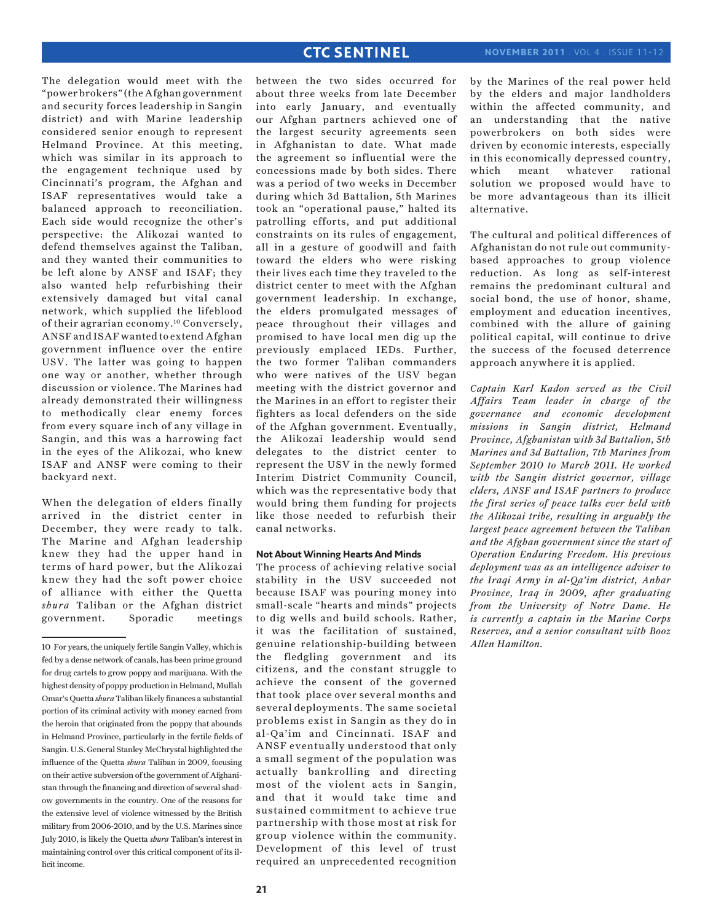The delegation would meet with the "power brokers" (the Afghan government and security forces leadership in Sangin district) and with Marine leadership considered senior enough to represent Helmand Province. At this meeting, which was similar in its approach to the engagement technique used by Cincinnati's program, the Afghan and ISAF representatives would take a balanced approach to reconciliation. Each side would recognize the other's perspective: the Alikozai wanted to defend themselves against the Taliban, and they wanted their communities to be left alone by ANSF and ISAF; they also wanted help refurbishing their extensively damaged but vital canal network, which supplied the lifeblood of their agrarian economy.10 Conversely, ANSF and ISAF wanted to extend Afghan government influence over the entire USV. The latter was going to happen one way or another, whether through discussion or violence. The Marines had already demonstrated their willingness to methodically clear enemy forces from every square inch of any village in Sangin, and this was a harrowing fact in the eyes of the Alikozai, who knew ISAF and ANSF were coming to their backyard next.

When the delegation of elders finally arrived in the district center in December, they were ready to talk. The Marine and Afghan leadership knew they had the upper hand in terms of hard power, but the Alikozai knew they had the soft power choice of alliance with either the Quetta *shura* Taliban or the Afghan district government. Sporadic meetings between the two sides occurred for about three weeks from late December into early January, and eventually our Afghan partners achieved one of the largest security agreements seen in Afghanistan to date. What made the agreement so influential were the concessions made by both sides. There was a period of two weeks in December during which 3d Battalion, 5th Marines took an "operational pause," halted its patrolling efforts, and put additional constraints on its rules of engagement, all in a gesture of goodwill and faith toward the elders who were risking their lives each time they traveled to the district center to meet with the Afghan government leadership. In exchange, the elders promulgated messages of peace throughout their villages and promised to have local men dig up the previously emplaced IEDs. Further, the two former Taliban commanders who were natives of the USV began meeting with the district governor and the Marines in an effort to register their fighters as local defenders on the side of the Afghan government. Eventually, the Alikozai leadership would send delegates to the district center to represent the USV in the newly formed Interim District Community Council, which was the representative body that would bring them funding for projects like those needed to refurbish their canal networks.

## **Not About Winning Hearts And Minds**

The process of achieving relative social stability in the USV succeeded not because ISAF was pouring money into small-scale "hearts and minds" projects to dig wells and build schools. Rather, it was the facilitation of sustained, genuine relationship-building between the fledgling government and its citizens, and the constant struggle to achieve the consent of the governed that took place over several months and several deployments. The same societal problems exist in Sangin as they do in al-Qa'im and Cincinnati. ISAF and ANSF eventually understood that only a small segment of the population was actually bankrolling and directing most of the violent acts in Sangin, and that it would take time and sustained commitment to achieve true partnership with those most at risk for group violence within the community. Development of this level of trust required an unprecedented recognition by the Marines of the real power held by the elders and major landholders within the affected community, and an understanding that the native powerbrokers on both sides were driven by economic interests, especially in this economically depressed country, which meant whatever rational solution we proposed would have to be more advantageous than its illicit alternative.

The cultural and political differences of Afghanistan do not rule out communitybased approaches to group violence reduction. As long as self-interest remains the predominant cultural and social bond, the use of honor, shame, employment and education incentives, combined with the allure of gaining political capital, will continue to drive the success of the focused deterrence approach anywhere it is applied.

*Captain Karl Kadon served as the Civil Affairs Team leader in charge of the governance and economic development missions in Sangin district, Helmand Province, Afghanistan with 3d Battalion, 5th Marines and 3d Battalion, 7th Marines from September 2010 to March 2011. He worked with the Sangin district governor, village elders, ANSF and ISAF partners to produce the first series of peace talks ever held with the Alikozai tribe, resulting in arguably the largest peace agreement between the Taliban and the Afghan government since the start of Operation Enduring Freedom. His previous deployment was as an intelligence adviser to the Iraqi Army in al-Qa'im district, Anbar Province, Iraq in 2009, after graduating from the University of Notre Dame. He is currently a captain in the Marine Corps Reserves, and a senior consultant with Booz Allen Hamilton.*

<sup>10</sup> For years, the uniquely fertile Sangin Valley, which is fed by a dense network of canals, has been prime ground for drug cartels to grow poppy and marijuana. With the highest density of poppy production in Helmand, Mullah Omar's Quetta *shura* Taliban likely finances a substantial portion of its criminal activity with money earned from the heroin that originated from the poppy that abounds in Helmand Province, particularly in the fertile fields of Sangin. U.S. General Stanley McChrystal highlighted the influence of the Quetta *shura* Taliban in 2009, focusing on their active subversion of the government of Afghanistan through the financing and direction of several shadow governments in the country. One of the reasons for the extensive level of violence witnessed by the British military from 2006-2010, and by the U.S. Marines since July 2010, is likely the Quetta *shura* Taliban's interest in maintaining control over this critical component of its illicit income.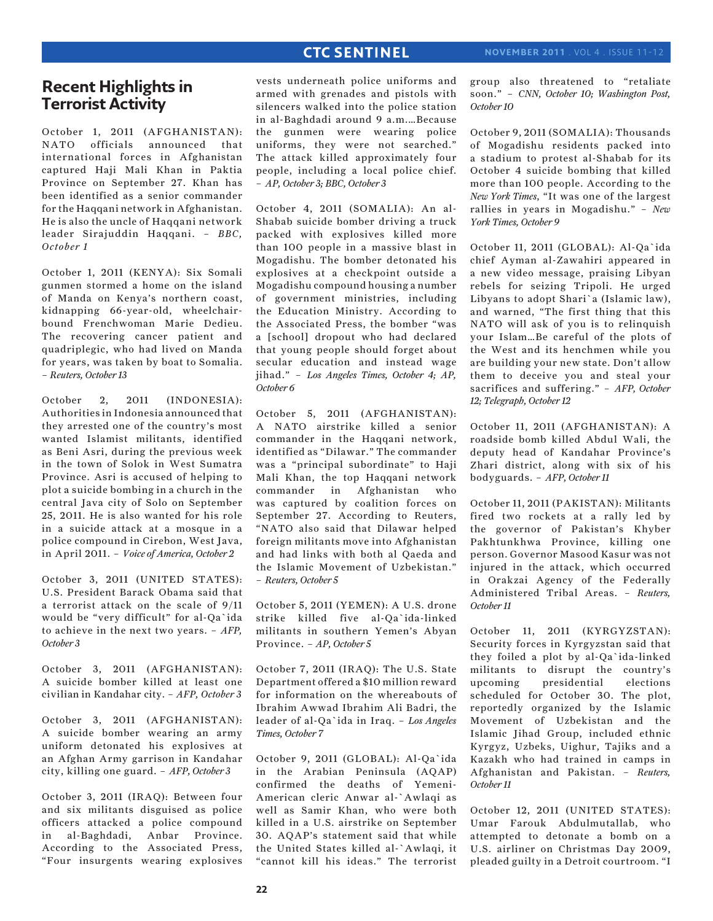## **Recent Highlights in Terrorist Activity**

October 1, 2011 (AFGHANISTAN): NATO officials announced that international forces in Afghanistan captured Haji Mali Khan in Paktia Province on September 27. Khan has been identified as a senior commander for the Haqqani network in Afghanistan. He is also the uncle of Haqqani network leader Sirajuddin Haqqani. – *BBC, October 1*

October 1, 2011 (KENYA): Six Somali gunmen stormed a home on the island of Manda on Kenya's northern coast, kidnapping 66-year-old, wheelchairbound Frenchwoman Marie Dedieu. The recovering cancer patient and quadriplegic, who had lived on Manda for years, was taken by boat to Somalia. – *Reuters, October 13*

October 2, 2011 (INDONESIA): Authorities in Indonesia announced that they arrested one of the country's most wanted Islamist militants, identified as Beni Asri, during the previous week in the town of Solok in West Sumatra Province. Asri is accused of helping to plot a suicide bombing in a church in the central Java city of Solo on September 25, 2011. He is also wanted for his role in a suicide attack at a mosque in a police compound in Cirebon, West Java, in April 2011. – *Voice of America, October 2*

October 3, 2011 (UNITED STATES): U.S. President Barack Obama said that a terrorist attack on the scale of 9/11 would be "very difficult" for al-Qa`ida to achieve in the next two years. – *AFP, October 3*

October 3, 2011 (AFGHANISTAN): A suicide bomber killed at least one civilian in Kandahar city. – *AFP, October 3*

October 3, 2011 (AFGHANISTAN): A suicide bomber wearing an army uniform detonated his explosives at an Afghan Army garrison in Kandahar city, killing one guard. – *AFP, October 3*

October 3, 2011 (IRAQ): Between four and six militants disguised as police officers attacked a police compound in al-Baghdadi, Anbar Province. According to the Associated Press, "Four insurgents wearing explosives

vests underneath police uniforms and armed with grenades and pistols with silencers walked into the police station in al-Baghdadi around 9 a.m.…Because the gunmen were wearing police uniforms, they were not searched." The attack killed approximately four people, including a local police chief. – *AP, October 3; BBC, October 3* 

October 4, 2011 (SOMALIA): An al-Shabab suicide bomber driving a truck packed with explosives killed more than 100 people in a massive blast in Mogadishu. The bomber detonated his explosives at a checkpoint outside a Mogadishu compound housing a number of government ministries, including the Education Ministry. According to the Associated Press, the bomber "was a [school] dropout who had declared that young people should forget about secular education and instead wage jihad." – *Los Angeles Times, October 4; AP, October 6*

October 5, 2011 (AFGHANISTAN): A NATO airstrike killed a senior commander in the Haqqani network, identified as "Dilawar." The commander was a "principal subordinate" to Haji Mali Khan, the top Haqqani network commander in Afghanistan who was captured by coalition forces on September 27. According to Reuters, "NATO also said that Dilawar helped foreign militants move into Afghanistan and had links with both al Qaeda and the Islamic Movement of Uzbekistan." – *Reuters, October 5*

October 5, 2011 (YEMEN): A U.S. drone strike killed five al-Qa`ida-linked militants in southern Yemen's Abyan Province. – *AP, October 5*

October 7, 2011 (IRAQ): The U.S. State Department offered a \$10 million reward for information on the whereabouts of Ibrahim Awwad Ibrahim Ali Badri, the leader of al-Qa`ida in Iraq. – *Los Angeles Times, October 7*

October 9, 2011 (GLOBAL): Al-Qa`ida in the Arabian Peninsula (AQAP) confirmed the deaths of Yemeni-American cleric Anwar al-`Awlaqi as well as Samir Khan, who were both killed in a U.S. airstrike on September 30. AQAP's statement said that while the United States killed al-`Awlaqi, it "cannot kill his ideas." The terrorist

group also threatened to "retaliate soon." – *CNN, October 10; Washington Post, October 10*

October 9, 2011 (SOMALIA): Thousands of Mogadishu residents packed into a stadium to protest al-Shabab for its October 4 suicide bombing that killed more than 100 people. According to the *New York Times*, "It was one of the largest rallies in years in Mogadishu." – *New York Times, October 9* 

October 11, 2011 (GLOBAL): Al-Qa`ida chief Ayman al-Zawahiri appeared in a new video message, praising Libyan rebels for seizing Tripoli. He urged Libyans to adopt Shari`a (Islamic law), and warned, "The first thing that this NATO will ask of you is to relinquish your Islam…Be careful of the plots of the West and its henchmen while you are building your new state. Don't allow them to deceive you and steal your sacrifices and suffering." – *AFP, October 12; Telegraph, October 12*

October 11, 2011 (AFGHANISTAN): A roadside bomb killed Abdul Wali, the deputy head of Kandahar Province's Zhari district, along with six of his bodyguards. – *AFP, October 11*

October 11, 2011 (PAKISTAN): Militants fired two rockets at a rally led by the governor of Pakistan's Khyber Pakhtunkhwa Province, killing one person. Governor Masood Kasur was not injured in the attack, which occurred in Orakzai Agency of the Federally Administered Tribal Areas. – *Reuters, October 11*

October 11, 2011 (KYRGYZSTAN): Security forces in Kyrgyzstan said that they foiled a plot by al-Qa`ida-linked militants to disrupt the country's upcoming presidential elections scheduled for October 30. The plot, reportedly organized by the Islamic Movement of Uzbekistan and the Islamic Jihad Group, included ethnic Kyrgyz, Uzbeks, Uighur, Tajiks and a Kazakh who had trained in camps in Afghanistan and Pakistan. – *Reuters, October 11*

October 12, 2011 (UNITED STATES): Umar Farouk Abdulmutallab, who attempted to detonate a bomb on a U.S. airliner on Christmas Day 2009, pleaded guilty in a Detroit courtroom. "I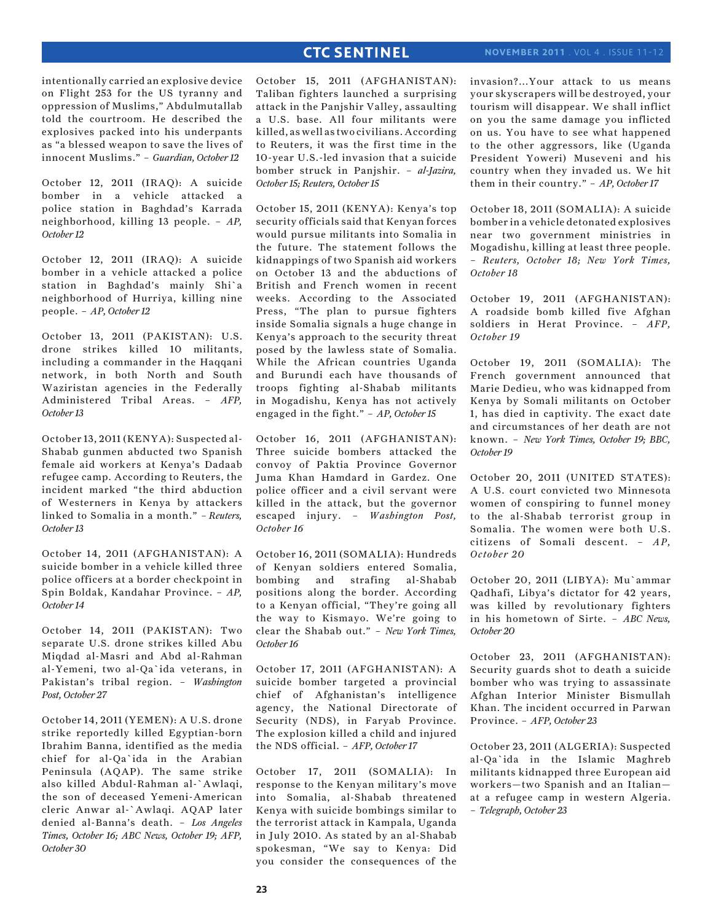intentionally carried an explosive device on Flight 253 for the US tyranny and oppression of Muslims," Abdulmutallab told the courtroom. He described the explosives packed into his underpants as "a blessed weapon to save the lives of innocent Muslims." – *Guardian, October 12*

October 12, 2011 (IRAQ): A suicide bomber in a vehicle attacked a police station in Baghdad's Karrada neighborhood, killing 13 people. – *AP, October 12*

October 12, 2011 (IRAQ): A suicide bomber in a vehicle attacked a police station in Baghdad's mainly Shi`a neighborhood of Hurriya, killing nine people. – *AP, October 12* 

October 13, 2011 (PAKISTAN): U.S. drone strikes killed 10 militants, including a commander in the Haqqani network, in both North and South Waziristan agencies in the Federally Administered Tribal Areas. – *AFP, October 13*

October 13, 2011 (KENYA): Suspected al-Shabab gunmen abducted two Spanish female aid workers at Kenya's Dadaab refugee camp. According to Reuters, the incident marked "the third abduction of Westerners in Kenya by attackers linked to Somalia in a month." *– Reuters, October 13*

October 14, 2011 (AFGHANISTAN): A suicide bomber in a vehicle killed three police officers at a border checkpoint in Spin Boldak, Kandahar Province. – *AP, October 14*

October 14, 2011 (PAKISTAN): Two separate U.S. drone strikes killed Abu Miqdad al-Masri and Abd al-Rahman al-Yemeni, two al-Qa`ida veterans, in Pakistan's tribal region. – *Washington Post, October 27*

October 14, 2011 (YEMEN): A U.S. drone strike reportedly killed Egyptian-born Ibrahim Banna, identified as the media chief for al-Qa`ida in the Arabian Peninsula (AQAP). The same strike also killed Abdul-Rahman al-`Awlaqi, the son of deceased Yemeni-American cleric Anwar al-`Awlaqi. AQAP later denied al-Banna's death. – *Los Angeles Times, October 16; ABC News, October 19; AFP, October 30*

October 15, 2011 (AFGHANISTAN): Taliban fighters launched a surprising attack in the Panjshir Valley, assaulting a U.S. base. All four militants were killed, as well as two civilians. According to Reuters, it was the first time in the 10-year U.S.-led invasion that a suicide bomber struck in Panjshir. – *al-Jazira, October 15; Reuters, October 15*

October 15, 2011 (KENYA): Kenya's top security officials said that Kenyan forces would pursue militants into Somalia in the future. The statement follows the kidnappings of two Spanish aid workers on October 13 and the abductions of British and French women in recent weeks. According to the Associated Press, "The plan to pursue fighters inside Somalia signals a huge change in Kenya's approach to the security threat posed by the lawless state of Somalia. While the African countries Uganda and Burundi each have thousands of troops fighting al-Shabab militants in Mogadishu, Kenya has not actively engaged in the fight." – *AP, October 15*

October 16, 2011 (AFGHANISTAN): Three suicide bombers attacked the convoy of Paktia Province Governor Juma Khan Hamdard in Gardez. One police officer and a civil servant were killed in the attack, but the governor escaped injury. – *Washington Post, October 16*

October 16, 2011 (SOMALIA): Hundreds of Kenyan soldiers entered Somalia, bombing and strafing al-Shabab positions along the border. According to a Kenyan official, "They're going all the way to Kismayo. We're going to clear the Shabab out." – *New York Times, October 16* 

October 17, 2011 (AFGHANISTAN): A suicide bomber targeted a provincial chief of Afghanistan's intelligence agency, the National Directorate of Security (NDS), in Faryab Province. The explosion killed a child and injured the NDS official. – *AFP, October 17*

October 17, 2011 (SOMALIA): In response to the Kenyan military's move into Somalia, al-Shabab threatened Kenya with suicide bombings similar to the terrorist attack in Kampala, Uganda in July 2010. As stated by an al-Shabab spokesman, "We say to Kenya: Did you consider the consequences of the invasion?...Your attack to us means your skyscrapers will be destroyed, your tourism will disappear. We shall inflict on you the same damage you inflicted on us. You have to see what happened to the other aggressors, like (Uganda President Yoweri) Museveni and his country when they invaded us. We hit them in their country." – *AP, October 17*

October 18, 2011 (SOMALIA): A suicide bomber in a vehicle detonated explosives near two government ministries in Mogadishu, killing at least three people. – *Reuters, October 18; New York Times, October 18*

October 19, 2011 (AFGHANISTAN): A roadside bomb killed five Afghan soldiers in Herat Province. – *AFP, October 19* 

October 19, 2011 (SOMALIA): The French government announced that Marie Dedieu, who was kidnapped from Kenya by Somali militants on October 1, has died in captivity. The exact date and circumstances of her death are not known. – *New York Times, October 19; BBC, October 19*

October 20, 2011 (UNITED STATES): A U.S. court convicted two Minnesota women of conspiring to funnel money to the al-Shabab terrorist group in Somalia. The women were both U.S. citizens of Somali descent. – *AP, October 20*

October 20, 2011 (LIBYA): Mu`ammar Qadhafi, Libya's dictator for 42 years, was killed by revolutionary fighters in his hometown of Sirte. – *ABC News, October 20*

October 23, 2011 (AFGHANISTAN): Security guards shot to death a suicide bomber who was trying to assassinate Afghan Interior Minister Bismullah Khan. The incident occurred in Parwan Province. – *AFP, October 23*

October 23, 2011 (ALGERIA): Suspected al-Qa`ida in the Islamic Maghreb militants kidnapped three European aid workers—two Spanish and an Italian at a refugee camp in western Algeria. – *Telegraph, October 23*